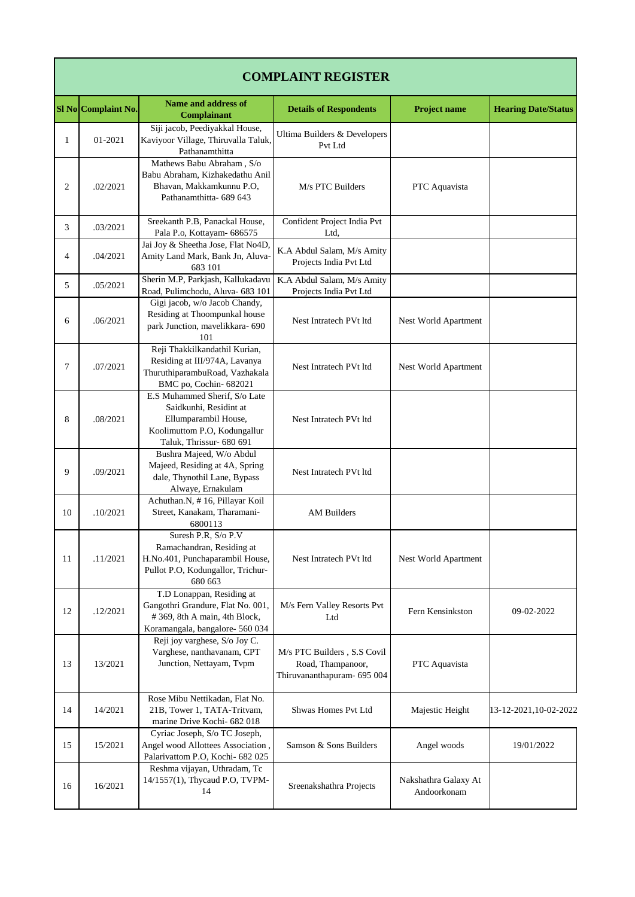|    | <b>COMPLAINT REGISTER</b> |                                                                                                                                             |                                                                                 |                                     |                            |  |  |
|----|---------------------------|---------------------------------------------------------------------------------------------------------------------------------------------|---------------------------------------------------------------------------------|-------------------------------------|----------------------------|--|--|
|    | SI No Complaint No.       | Name and address of<br><b>Complainant</b>                                                                                                   | <b>Details of Respondents</b>                                                   | <b>Project name</b>                 | <b>Hearing Date/Status</b> |  |  |
| 1  | 01-2021                   | Siji jacob, Peediyakkal House,<br>Kaviyoor Village, Thiruvalla Taluk,<br>Pathanamthitta                                                     | Ultima Builders & Developers<br>Pvt Ltd                                         |                                     |                            |  |  |
| 2  | .02/2021                  | Mathews Babu Abraham, S/o<br>Babu Abraham, Kizhakedathu Anil<br>Bhavan, Makkamkunnu P.O,<br>Pathanamthitta- 689 643                         | M/s PTC Builders                                                                | PTC Aquavista                       |                            |  |  |
| 3  | .03/2021                  | Sreekanth P.B, Panackal House,<br>Pala P.o, Kottayam- 686575                                                                                | Confident Project India Pvt<br>Ltd.                                             |                                     |                            |  |  |
| 4  | .04/2021                  | Jai Joy & Sheetha Jose, Flat No4D,<br>Amity Land Mark, Bank Jn, Aluva-<br>683 101                                                           | K.A Abdul Salam, M/s Amity<br>Projects India Pvt Ltd                            |                                     |                            |  |  |
| 5  | .05/2021                  | Sherin M.P, Parkjash, Kallukadavu<br>Road, Pulimchodu, Aluva- 683 101                                                                       | K.A Abdul Salam, M/s Amity<br>Projects India Pvt Ltd                            |                                     |                            |  |  |
| 6  | .06/2021                  | Gigi jacob, w/o Jacob Chandy,<br>Residing at Thoompunkal house<br>park Junction, mavelikkara- 690<br>101                                    | Nest Intratech PVt ltd                                                          | Nest World Apartment                |                            |  |  |
| 7  | .07/2021                  | Reji Thakkilkandathil Kurian,<br>Residing at III/974A, Lavanya<br>ThuruthiparambuRoad, Vazhakala<br>BMC po, Cochin-682021                   | Nest Intratech PVt ltd                                                          | Nest World Apartment                |                            |  |  |
| 8  | .08/2021                  | E.S Muhammed Sherif, S/o Late<br>Saidkunhi, Residint at<br>Ellumparambil House,<br>Koolimuttom P.O, Kodungallur<br>Taluk, Thrissur- 680 691 | Nest Intratech PVt ltd                                                          |                                     |                            |  |  |
| 9  | .09/2021                  | Bushra Majeed, W/o Abdul<br>Majeed, Residing at 4A, Spring<br>dale, Thynothil Lane, Bypass<br>Alwaye, Ernakulam                             | Nest Intratech PVt ltd                                                          |                                     |                            |  |  |
| 10 | .10/2021                  | Achuthan.N, #16, Pillayar Koil<br>Street, Kanakam, Tharamani-<br>6800113                                                                    | <b>AM Builders</b>                                                              |                                     |                            |  |  |
| 11 | .11/2021                  | Suresh P.R, S/o P.V<br>Ramachandran, Residing at<br>H.No.401, Punchaparambil House,<br>Pullot P.O, Kodungallor, Trichur-<br>680 663         | Nest Intratech PVt ltd                                                          | Nest World Apartment                |                            |  |  |
| 12 | .12/2021                  | T.D Lonappan, Residing at<br>Gangothri Grandure, Flat No. 001,<br>#369, 8th A main, 4th Block,<br>Koramangala, bangalore- 560 034           | M/s Fern Valley Resorts Pvt<br>Ltd                                              | Fern Kensinkston                    | 09-02-2022                 |  |  |
| 13 | 13/2021                   | Reji joy varghese, S/o Joy C.<br>Varghese, nanthavanam, CPT<br>Junction, Nettayam, Tvpm                                                     | M/s PTC Builders, S.S Covil<br>Road, Thampanoor,<br>Thiruvananthapuram- 695 004 | PTC Aquavista                       |                            |  |  |
| 14 | 14/2021                   | Rose Mibu Nettikadan, Flat No.<br>21B, Tower 1, TATA-Tritvam,<br>marine Drive Kochi- 682 018                                                | Shwas Homes Pvt Ltd                                                             | Majestic Height                     | 13-12-2021,10-02-2022      |  |  |
| 15 | 15/2021                   | Cyriac Joseph, S/o TC Joseph,<br>Angel wood Allottees Association,<br>Palarivattom P.O, Kochi- 682 025                                      | Samson & Sons Builders                                                          | Angel woods                         | 19/01/2022                 |  |  |
| 16 | 16/2021                   | Reshma vijayan, Uthradam, Tc<br>14/1557(1), Thycaud P.O, TVPM-<br>14                                                                        | Sreenakshathra Projects                                                         | Nakshathra Galaxy At<br>Andoorkonam |                            |  |  |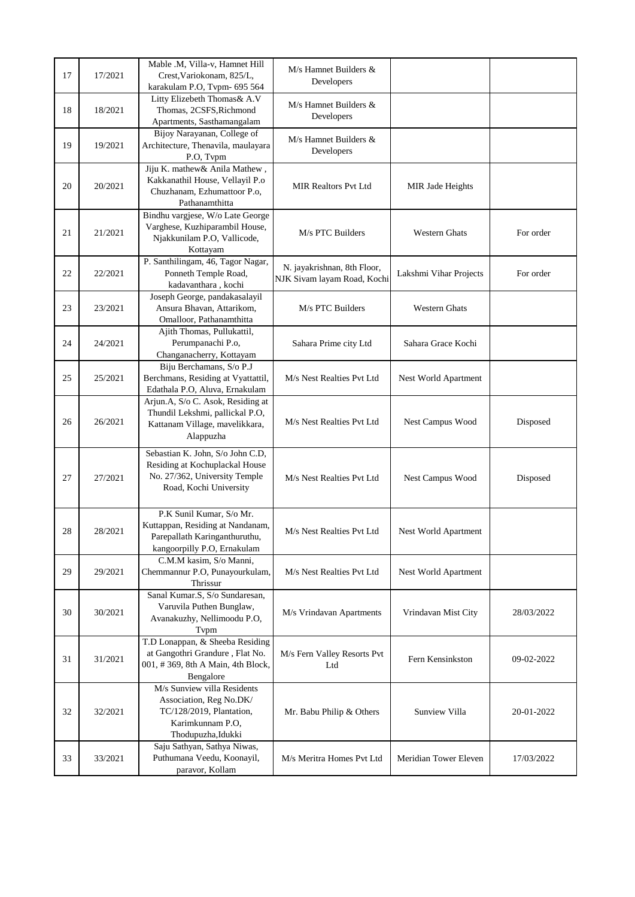| 17 | 17/2021 | Mable .M, Villa-v, Hamnet Hill<br>Crest, Variokonam, 825/L,<br>karakulam P.O, Tvpm- 695 564                                   | $M/s$ Hamnet Builders $&$<br>Developers                    |                        |            |
|----|---------|-------------------------------------------------------------------------------------------------------------------------------|------------------------------------------------------------|------------------------|------------|
| 18 | 18/2021 | Litty Elizebeth Thomas & A.V<br>Thomas, 2CSFS, Richmond<br>Apartments, Sasthamangalam                                         | $M/s$ Hamnet Builders $&$<br>Developers                    |                        |            |
| 19 | 19/2021 | Bijoy Narayanan, College of<br>Architecture, Thenavila, maulayara<br>P.O, Tvpm                                                | M/s Hamnet Builders &<br>Developers                        |                        |            |
| 20 | 20/2021 | Jiju K. mathew& Anila Mathew,<br>Kakkanathil House, Vellayil P.o<br>Chuzhanam, Ezhumattoor P.o,<br>Pathanamthitta             | <b>MIR Realtors Pvt Ltd</b>                                | MIR Jade Heights       |            |
| 21 | 21/2021 | Bindhu vargjese, W/o Late George<br>Varghese, Kuzhiparambil House,<br>Njakkunilam P.O, Vallicode,<br>Kottayam                 | M/s PTC Builders                                           | <b>Western Ghats</b>   | For order  |
| 22 | 22/2021 | P. Santhilingam, 46, Tagor Nagar,<br>Ponneth Temple Road,<br>kadavanthara, kochi                                              | N. jayakrishnan, 8th Floor,<br>NJK Sivam layam Road, Kochi | Lakshmi Vihar Projects | For order  |
| 23 | 23/2021 | Joseph George, pandakasalayil<br>Ansura Bhavan, Attarikom,<br>Omalloor, Pathanamthitta                                        | M/s PTC Builders                                           | <b>Western Ghats</b>   |            |
| 24 | 24/2021 | Ajith Thomas, Pullukattil,<br>Perumpanachi P.o,<br>Changanacherry, Kottayam                                                   | Sahara Prime city Ltd                                      | Sahara Grace Kochi     |            |
| 25 | 25/2021 | Biju Berchamans, S/o P.J<br>Berchmans, Residing at Vyattattil,<br>Edathala P.O, Aluva, Ernakulam                              | M/s Nest Realties Pvt Ltd                                  | Nest World Apartment   |            |
| 26 | 26/2021 | Arjun.A, S/o C. Asok, Residing at<br>Thundil Lekshmi, pallickal P.O,<br>Kattanam Village, mavelikkara,<br>Alappuzha           | M/s Nest Realties Pvt Ltd                                  | Nest Campus Wood       | Disposed   |
| 27 | 27/2021 | Sebastian K. John, S/o John C.D,<br>Residing at Kochuplackal House<br>No. 27/362, University Temple<br>Road, Kochi University | M/s Nest Realties Pvt Ltd                                  | Nest Campus Wood       | Disposed   |
| 28 | 28/2021 | P.K Sunil Kumar, S/o Mr.<br>Kuttappan, Residing at Nandanam,<br>Parepallath Karinganthuruthu,<br>kangoorpilly P.O, Ernakulam  | M/s Nest Realties Pvt Ltd                                  | Nest World Apartment   |            |
| 29 | 29/2021 | C.M.M kasim, S/o Manni,<br>Chemmannur P.O, Punayourkulam,<br>Thrissur                                                         | M/s Nest Realties Pvt Ltd                                  | Nest World Apartment   |            |
| 30 | 30/2021 | Sanal Kumar.S, S/o Sundaresan,<br>Varuvila Puthen Bunglaw,<br>Avanakuzhy, Nellimoodu P.O,<br>Tvpm                             | M/s Vrindavan Apartments                                   | Vrindavan Mist City    | 28/03/2022 |
| 31 | 31/2021 | T.D Lonappan, & Sheeba Residing<br>at Gangothri Grandure, Flat No.<br>001, #369, 8th A Main, 4th Block,<br>Bengalore          | M/s Fern Valley Resorts Pvt<br>Ltd                         | Fern Kensinkston       | 09-02-2022 |
| 32 | 32/2021 | M/s Sunview villa Residents<br>Association, Reg No.DK/<br>TC/128/2019, Plantation,<br>Karimkunnam P.O,<br>Thodupuzha, Idukki  | Mr. Babu Philip & Others                                   | Sunview Villa          | 20-01-2022 |
| 33 | 33/2021 | Saju Sathyan, Sathya Niwas,<br>Puthumana Veedu, Koonayil,<br>paravor, Kollam                                                  | M/s Meritra Homes Pvt Ltd                                  | Meridian Tower Eleven  | 17/03/2022 |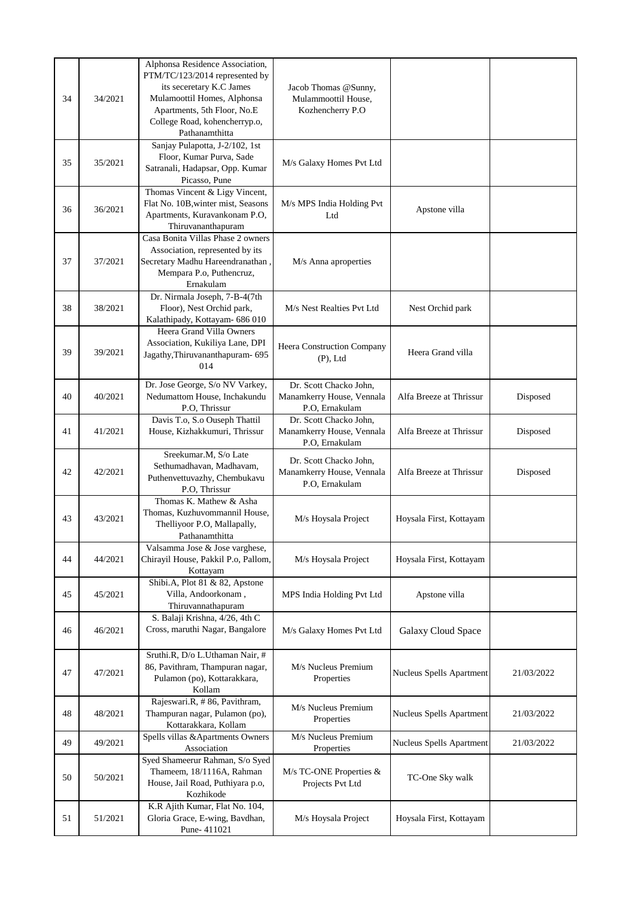| 34 | 34/2021 | Alphonsa Residence Association,<br>PTM/TC/123/2014 represented by<br>its seceretary K.C James<br>Mulamoottil Homes, Alphonsa<br>Apartments, 5th Floor, No.E<br>College Road, kohencherryp.o,<br>Pathanamthitta | Jacob Thomas @Sunny,<br>Mulammoottil House,<br>Kozhencherry P.O       |                          |            |
|----|---------|----------------------------------------------------------------------------------------------------------------------------------------------------------------------------------------------------------------|-----------------------------------------------------------------------|--------------------------|------------|
| 35 | 35/2021 | Sanjay Pulapotta, J-2/102, 1st<br>Floor, Kumar Purva, Sade<br>Satranali, Hadapsar, Opp. Kumar<br>Picasso, Pune                                                                                                 | M/s Galaxy Homes Pvt Ltd                                              |                          |            |
| 36 | 36/2021 | Thomas Vincent & Ligy Vincent,<br>Flat No. 10B, winter mist, Seasons<br>Apartments, Kuravankonam P.O,<br>Thiruvananthapuram                                                                                    | M/s MPS India Holding Pvt<br>Ltd                                      | Apstone villa            |            |
| 37 | 37/2021 | Casa Bonita Villas Phase 2 owners<br>Association, represented by its<br>Secretary Madhu Hareendranathan<br>Mempara P.o, Puthencruz,<br>Ernakulam                                                               | M/s Anna aproperties                                                  |                          |            |
| 38 | 38/2021 | Dr. Nirmala Joseph, 7-B-4(7th<br>Floor), Nest Orchid park,<br>Kalathipady, Kottayam- 686 010                                                                                                                   | M/s Nest Realties Pvt Ltd                                             | Nest Orchid park         |            |
| 39 | 39/2021 | Heera Grand Villa Owners<br>Association, Kukiliya Lane, DPI<br>Jagathy, Thiruvananthapuram- 695<br>014                                                                                                         | Heera Construction Company<br>$(P)$ , Ltd                             | Heera Grand villa        |            |
| 40 | 40/2021 | Dr. Jose George, S/o NV Varkey,<br>Nedumattom House, Inchakundu<br>P.O, Thrissur                                                                                                                               | Dr. Scott Chacko John,<br>Manamkerry House, Vennala<br>P.O. Ernakulam | Alfa Breeze at Thrissur  | Disposed   |
| 41 | 41/2021 | Davis T.o, S.o Ouseph Thattil<br>House, Kizhakkumuri, Thrissur                                                                                                                                                 | Dr. Scott Chacko John,<br>Manamkerry House, Vennala<br>P.O, Ernakulam | Alfa Breeze at Thrissur  | Disposed   |
| 42 | 42/2021 | Sreekumar.M, S/o Late<br>Sethumadhavan, Madhavam,<br>Puthenvettuvazhy, Chembukavu<br>P.O. Thrissur                                                                                                             | Dr. Scott Chacko John,<br>Manamkerry House, Vennala<br>P.O, Ernakulam | Alfa Breeze at Thrissur  | Disposed   |
| 43 | 43/2021 | Thomas K. Mathew & Asha<br>Thomas, Kuzhuvommannil House,<br>Thelliyoor P.O, Mallapally,<br>Pathanamthitta                                                                                                      | M/s Hoysala Project                                                   | Hoysala First, Kottayam  |            |
| 44 | 44/2021 | Valsamma Jose & Jose varghese,<br>Chirayil House, Pakkil P.o, Pallom,<br>Kottayam                                                                                                                              | M/s Hoysala Project                                                   | Hoysala First, Kottayam  |            |
| 45 | 45/2021 | Shibi.A, Plot 81 & 82, Apstone<br>Villa, Andoorkonam,<br>Thiruvannathapuram                                                                                                                                    | MPS India Holding Pvt Ltd                                             | Apstone villa            |            |
| 46 | 46/2021 | S. Balaji Krishna, 4/26, 4th C<br>Cross, maruthi Nagar, Bangalore                                                                                                                                              | M/s Galaxy Homes Pvt Ltd                                              | Galaxy Cloud Space       |            |
| 47 | 47/2021 | Sruthi.R, D/o L.Uthaman Nair, #<br>86, Pavithram, Thampuran nagar,<br>Pulamon (po), Kottarakkara,<br>Kollam                                                                                                    | M/s Nucleus Premium<br>Properties                                     | Nucleus Spells Apartment | 21/03/2022 |
| 48 | 48/2021 | Rajeswari.R, #86, Pavithram,<br>Thampuran nagar, Pulamon (po),<br>Kottarakkara, Kollam                                                                                                                         | M/s Nucleus Premium<br>Properties                                     | Nucleus Spells Apartment | 21/03/2022 |
| 49 | 49/2021 | Spells villas & Apartments Owners<br>Association                                                                                                                                                               | M/s Nucleus Premium<br>Properties                                     | Nucleus Spells Apartment | 21/03/2022 |
| 50 | 50/2021 | Syed Shameerur Rahman, S/o Syed<br>Thameem, 18/1116A, Rahman<br>House, Jail Road, Puthiyara p.o,<br>Kozhikode                                                                                                  | M/s TC-ONE Properties $&$<br>Projects Pvt Ltd                         | TC-One Sky walk          |            |
| 51 | 51/2021 | K.R Ajith Kumar, Flat No. 104,<br>Gloria Grace, E-wing, Bavdhan,<br>Pune-411021                                                                                                                                | M/s Hoysala Project                                                   | Hoysala First, Kottayam  |            |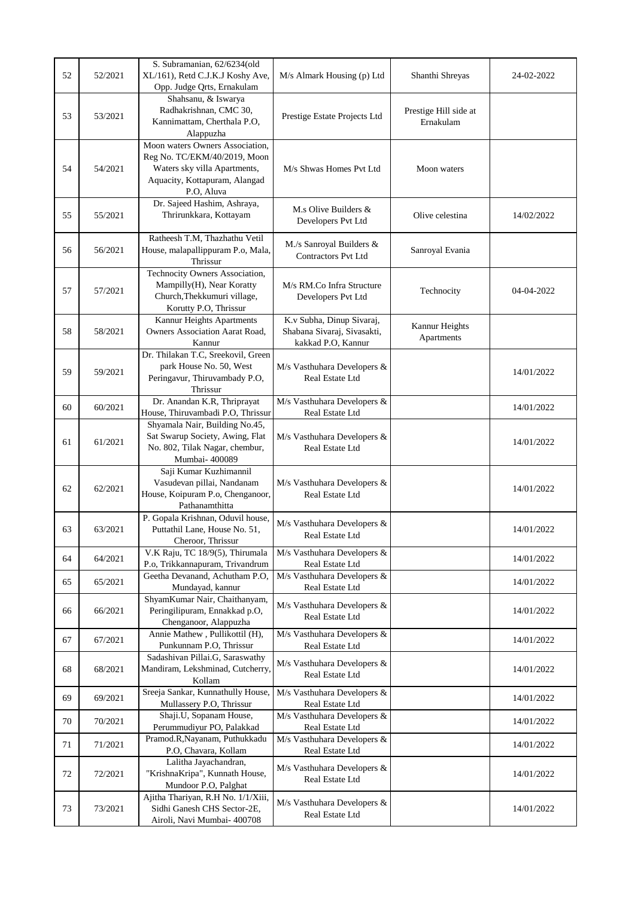| 52 | 52/2021 | S. Subramanian, 62/6234(old<br>XL/161), Retd C.J.K.J Koshy Ave,<br>Opp. Judge Qrts, Ernakulam                                                  | M/s Almark Housing (p) Ltd                                                     | Shanthi Shreyas                    | 24-02-2022 |
|----|---------|------------------------------------------------------------------------------------------------------------------------------------------------|--------------------------------------------------------------------------------|------------------------------------|------------|
| 53 | 53/2021 | Shahsanu, & Iswarya<br>Radhakrishnan, CMC 30,<br>Kannimattam, Cherthala P.O,<br>Alappuzha                                                      | Prestige Estate Projects Ltd                                                   | Prestige Hill side at<br>Ernakulam |            |
| 54 | 54/2021 | Moon waters Owners Association,<br>Reg No. TC/EKM/40/2019, Moon<br>Waters sky villa Apartments,<br>Aquacity, Kottapuram, Alangad<br>P.O, Aluva | M/s Shwas Homes Pvt Ltd                                                        | Moon waters                        |            |
| 55 | 55/2021 | Dr. Sajeed Hashim, Ashraya,<br>Thrirunkkara, Kottayam                                                                                          | M.s Olive Builders &<br>Developers Pvt Ltd                                     | Olive celestina                    | 14/02/2022 |
| 56 | 56/2021 | Ratheesh T.M, Thazhathu Vetil<br>House, malapallippuram P.o, Mala,<br>Thrissur                                                                 | M./s Sanroyal Builders &<br>Contractors Pvt Ltd                                | Sanroyal Evania                    |            |
| 57 | 57/2021 | Technocity Owners Association,<br>Mampilly(H), Near Koratty<br>Church, Thekkumuri village,<br>Korutty P.O, Thrissur                            | M/s RM.Co Infra Structure<br>Developers Pvt Ltd                                | Technocity                         | 04-04-2022 |
| 58 | 58/2021 | Kannur Heights Apartments<br><b>Owners Association Aarat Road,</b><br>Kannur                                                                   | K.v Subha, Dinup Sivaraj,<br>Shabana Sivaraj, Sivasakti,<br>kakkad P.O, Kannur | Kannur Heights<br>Apartments       |            |
| 59 | 59/2021 | Dr. Thilakan T.C, Sreekovil, Green<br>park House No. 50, West<br>Peringavur, Thiruvambady P.O,<br>Thrissur                                     | M/s Vasthuhara Developers &<br>Real Estate Ltd                                 |                                    | 14/01/2022 |
| 60 | 60/2021 | Dr. Anandan K.R, Thriprayat<br>House, Thiruvambadi P.O, Thrissur                                                                               | M/s Vasthuhara Developers &<br>Real Estate Ltd                                 |                                    | 14/01/2022 |
| 61 | 61/2021 | Shyamala Nair, Building No.45,<br>Sat Swarup Society, Awing, Flat<br>No. 802, Tilak Nagar, chembur,<br>Mumbai- 400089                          | M/s Vasthuhara Developers &<br>Real Estate Ltd                                 |                                    | 14/01/2022 |
| 62 | 62/2021 | Saji Kumar Kuzhimannil<br>Vasudevan pillai, Nandanam<br>House, Koipuram P.o, Chenganoor,<br>Pathanamthitta                                     | M/s Vasthuhara Developers &<br>Real Estate Ltd                                 |                                    | 14/01/2022 |
| 63 | 63/2021 | P. Gopala Krishnan, Oduvil house,<br>Puttathil Lane, House No. 51,<br>Cheroor, Thrissur                                                        | M/s Vasthuhara Developers &<br>Real Estate Ltd                                 |                                    | 14/01/2022 |
| 64 | 64/2021 | V.K Raju, TC 18/9(5), Thirumala<br>P.o, Trikkannapuram, Trivandrum                                                                             | M/s Vasthuhara Developers &<br>Real Estate Ltd                                 |                                    | 14/01/2022 |
| 65 | 65/2021 | Geetha Devanand, Achutham P.O.<br>Mundayad, kannur                                                                                             | M/s Vasthuhara Developers &<br>Real Estate Ltd                                 |                                    | 14/01/2022 |
| 66 | 66/2021 | ShyamKumar Nair, Chaithanyam,<br>Peringilipuram, Ennakkad p.O,<br>Chenganoor, Alappuzha                                                        | M/s Vasthuhara Developers &<br>Real Estate Ltd                                 |                                    | 14/01/2022 |
| 67 | 67/2021 | Annie Mathew, Pullikottil (H),<br>Punkunnam P.O, Thrissur                                                                                      | M/s Vasthuhara Developers &<br>Real Estate Ltd                                 |                                    | 14/01/2022 |
| 68 | 68/2021 | Sadashivan Pillai.G, Saraswathy<br>Mandiram, Lekshminad, Cutcherry,<br>Kollam                                                                  | M/s Vasthuhara Developers &<br>Real Estate Ltd                                 |                                    | 14/01/2022 |
| 69 | 69/2021 | Sreeja Sankar, Kunnathully House,<br>Mullassery P.O, Thrissur                                                                                  | M/s Vasthuhara Developers &<br>Real Estate Ltd                                 |                                    | 14/01/2022 |
| 70 | 70/2021 | Shaji.U, Sopanam House,<br>Perummudiyur PO, Palakkad                                                                                           | M/s Vasthuhara Developers &<br>Real Estate Ltd                                 |                                    | 14/01/2022 |
| 71 | 71/2021 | Pramod.R, Nayanam, Puthukkadu<br>P.O, Chavara, Kollam                                                                                          | M/s Vasthuhara Developers &<br>Real Estate Ltd                                 |                                    | 14/01/2022 |
| 72 | 72/2021 | Lalitha Jayachandran,<br>"KrishnaKripa", Kunnath House,<br>Mundoor P.O, Palghat                                                                | M/s Vasthuhara Developers &<br>Real Estate Ltd                                 |                                    | 14/01/2022 |
| 73 | 73/2021 | Ajitha Thariyan, R.H No. 1/1/Xiii,<br>Sidhi Ganesh CHS Sector-2E,<br>Airoli, Navi Mumbai- 400708                                               | M/s Vasthuhara Developers &<br>Real Estate Ltd                                 |                                    | 14/01/2022 |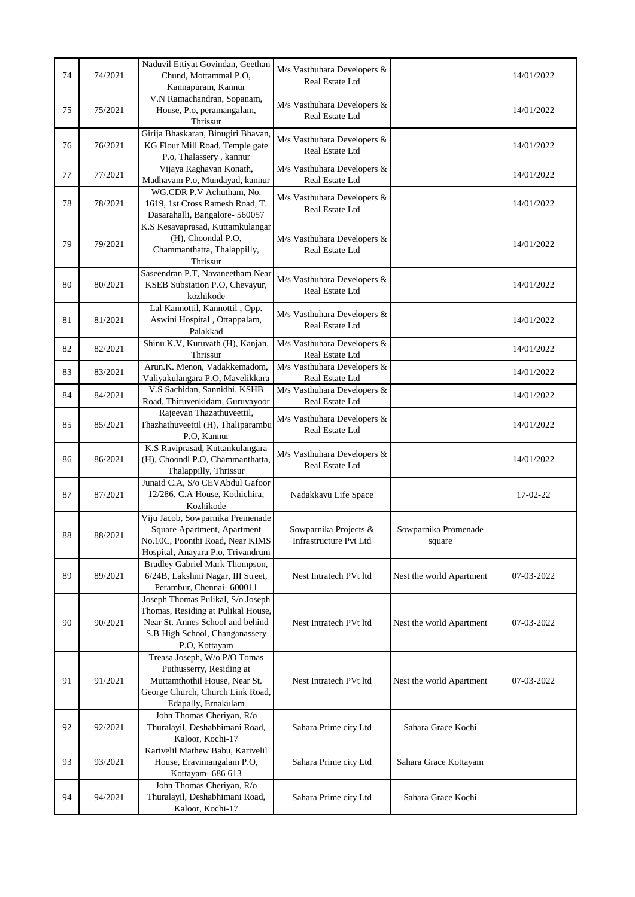|        |         | Naduvil Ettiyat Govindan, Geethan                                       | M/s Vasthuhara Developers &                    |                          |            |
|--------|---------|-------------------------------------------------------------------------|------------------------------------------------|--------------------------|------------|
| 74     | 74/2021 | Chund, Mottammal P.O,<br>Kannapuram, Kannur                             | Real Estate Ltd                                |                          | 14/01/2022 |
|        |         | V.N Ramachandran, Sopanam,                                              | M/s Vasthuhara Developers &                    |                          |            |
| 75     | 75/2021 | House, P.o, peramangalam,                                               | Real Estate Ltd                                |                          | 14/01/2022 |
|        |         | Thrissur<br>Girija Bhaskaran, Binugiri Bhavan,                          |                                                |                          |            |
| 76     | 76/2021 | KG Flour Mill Road, Temple gate                                         | M/s Vasthuhara Developers &<br>Real Estate Ltd |                          | 14/01/2022 |
|        |         | P.o, Thalassery, kannur                                                 |                                                |                          |            |
| 77     | 77/2021 | Vijaya Raghavan Konath,<br>Madhavam P.o, Mundayad, kannur               | M/s Vasthuhara Developers &<br>Real Estate Ltd |                          | 14/01/2022 |
|        |         | WG.CDR P.V Achutham, No.                                                |                                                |                          |            |
| 78     | 78/2021 | 1619, 1st Cross Ramesh Road, T.                                         | M/s Vasthuhara Developers &<br>Real Estate Ltd |                          | 14/01/2022 |
|        |         | Dasarahalli, Bangalore- 560057<br>K.S Kesavaprasad, Kuttamkulangar      |                                                |                          |            |
|        |         | (H), Choondal P.O,                                                      | M/s Vasthuhara Developers &                    |                          |            |
| 79     | 79/2021 | Chammanthatta, Thalappilly,                                             | Real Estate Ltd                                |                          | 14/01/2022 |
|        |         | Thrissur<br>Saseendran P.T, Navaneetham Near                            |                                                |                          |            |
| 80     | 80/2021 | KSEB Substation P.O, Chevayur,                                          | M/s Vasthuhara Developers &                    |                          | 14/01/2022 |
|        |         | kozhikode                                                               | Real Estate Ltd                                |                          |            |
| 81     | 81/2021 | Lal Kannottil, Kannottil, Opp.<br>Aswini Hospital, Ottappalam,          | M/s Vasthuhara Developers &                    |                          | 14/01/2022 |
|        |         | Palakkad                                                                | Real Estate Ltd                                |                          |            |
| 82     | 82/2021 | Shinu K.V, Kuruvath (H), Kanjan,                                        | M/s Vasthuhara Developers &                    |                          | 14/01/2022 |
|        |         | Thrissur<br>Arun.K. Menon, Vadakkemadom,                                | Real Estate Ltd<br>M/s Vasthuhara Developers & |                          |            |
| 83     | 83/2021 | Valiyakulangara P.O, Mavelikkara                                        | Real Estate Ltd                                |                          | 14/01/2022 |
| 84     | 84/2021 | V.S Sachidan, Sannidhi, KSHB                                            | M/s Vasthuhara Developers &                    |                          | 14/01/2022 |
|        |         | Road, Thiruvenkidam, Guruvayoor<br>Rajeevan Thazathuveettil,            | Real Estate Ltd                                |                          |            |
| 85     | 85/2021 | Thazhathuveettil (H), Thaliparambu                                      | M/s Vasthuhara Developers &                    |                          | 14/01/2022 |
|        |         | P.O. Kannur                                                             | Real Estate Ltd                                |                          |            |
|        | 86/2021 | K.S Raviprasad, Kuttankulangara<br>(H), Choondl P.O, Chammanthatta,     | M/s Vasthuhara Developers &                    |                          |            |
| 86     |         | Thalappilly, Thrissur                                                   | Real Estate Ltd                                |                          | 14/01/2022 |
|        |         | Junaid C.A, S/o CEVAbdul Gafoor                                         |                                                |                          |            |
| 87     | 87/2021 | 12/286, C.A House, Kothichira,<br>Kozhikode                             | Nadakkavu Life Space                           |                          | 17-02-22   |
|        |         | Viju Jacob, Sowparnika Premenade                                        |                                                |                          |            |
| $88\,$ | 88/2021 | Square Apartment, Apartment                                             | Sowparnika Projects &                          | Sowparnika Promenade     |            |
|        |         | No.10C, Poonthi Road, Near KIMS                                         | <b>Infrastructure Pvt Ltd</b>                  | square                   |            |
|        |         | Hospital, Anayara P.o, Trivandrum<br>Bradley Gabriel Mark Thompson,     |                                                |                          |            |
| 89     | 89/2021 | 6/24B, Lakshmi Nagar, III Street,                                       | Nest Intratech PVt ltd                         | Nest the world Apartment | 07-03-2022 |
|        |         | Perambur, Chennai- 600011                                               |                                                |                          |            |
|        |         | Joseph Thomas Pulikal, S/o Joseph<br>Thomas, Residing at Pulikal House, |                                                |                          |            |
| 90     | 90/2021 | Near St. Annes School and behind                                        | Nest Intratech PVt ltd                         | Nest the world Apartment | 07-03-2022 |
|        |         | S.B High School, Changanassery                                          |                                                |                          |            |
|        |         | P.O, Kottayam<br>Treasa Joseph, W/o P/O Tomas                           |                                                |                          |            |
|        |         | Puthusserry, Residing at                                                |                                                |                          |            |
| 91     | 91/2021 | Muttamthothil House, Near St.                                           | Nest Intratech PVt ltd                         | Nest the world Apartment | 07-03-2022 |
|        |         | George Church, Church Link Road,<br>Edapally, Ernakulam                 |                                                |                          |            |
|        |         | John Thomas Cheriyan, R/o                                               |                                                |                          |            |
| 92     | 92/2021 | Thuralayil, Deshabhimani Road,                                          | Sahara Prime city Ltd                          | Sahara Grace Kochi       |            |
|        |         | Kaloor, Kochi-17<br>Karivelil Mathew Babu, Karivelil                    |                                                |                          |            |
| 93     | 93/2021 | House, Eravimangalam P.O,                                               | Sahara Prime city Ltd                          | Sahara Grace Kottayam    |            |
|        |         | Kottayam- 686 613                                                       |                                                |                          |            |
| 94     | 94/2021 | John Thomas Cheriyan, R/o<br>Thuralayil, Deshabhimani Road,             | Sahara Prime city Ltd                          | Sahara Grace Kochi       |            |
|        |         | Kaloor, Kochi-17                                                        |                                                |                          |            |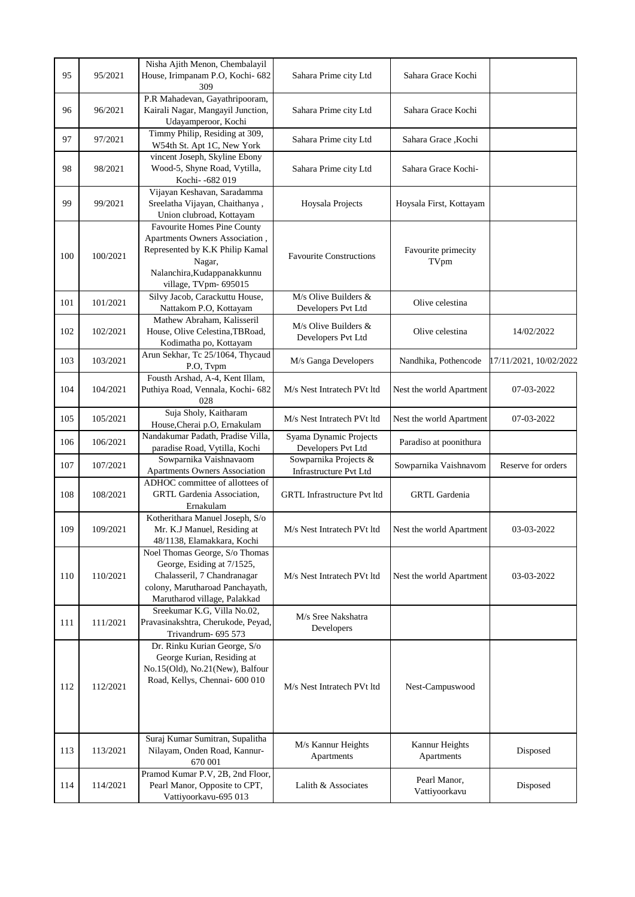| 95  | 95/2021  | Nisha Ajith Menon, Chembalayil<br>House, Irimpanam P.O, Kochi- 682<br>309                                                                                                 | Sahara Prime city Ltd                           | Sahara Grace Kochi            |                        |
|-----|----------|---------------------------------------------------------------------------------------------------------------------------------------------------------------------------|-------------------------------------------------|-------------------------------|------------------------|
| 96  | 96/2021  | P.R Mahadevan, Gayathripooram,<br>Kairali Nagar, Mangayil Junction,<br>Udayamperoor, Kochi                                                                                | Sahara Prime city Ltd                           | Sahara Grace Kochi            |                        |
| 97  | 97/2021  | Timmy Philip, Residing at 309,<br>W54th St. Apt 1C, New York                                                                                                              | Sahara Prime city Ltd                           | Sahara Grace, Kochi           |                        |
| 98  | 98/2021  | vincent Joseph, Skyline Ebony<br>Wood-5, Shyne Road, Vytilla,<br>Kochi- -682 019                                                                                          | Sahara Prime city Ltd                           | Sahara Grace Kochi-           |                        |
| 99  | 99/2021  | Vijayan Keshavan, Saradamma<br>Sreelatha Vijayan, Chaithanya,<br>Union clubroad, Kottayam                                                                                 | Hoysala Projects                                | Hoysala First, Kottayam       |                        |
| 100 | 100/2021 | <b>Favourite Homes Pine County</b><br>Apartments Owners Association,<br>Represented by K.K Philip Kamal<br>Nagar,<br>Nalanchira, Kudappanakkunnu<br>village, TVpm- 695015 | <b>Favourite Constructions</b>                  | Favourite primecity<br>TVpm   |                        |
| 101 | 101/2021 | Silvy Jacob, Carackuttu House,<br>Nattakom P.O, Kottayam                                                                                                                  | $M/s$ Olive Builders $&$<br>Developers Pvt Ltd  | Olive celestina               |                        |
| 102 | 102/2021 | Mathew Abraham, Kalisseril<br>House, Olive Celestina, TBRoad,<br>Kodimatha po, Kottayam                                                                                   | $M/s$ Olive Builders &<br>Developers Pvt Ltd    | Olive celestina               | 14/02/2022             |
| 103 | 103/2021 | Arun Sekhar, Tc 25/1064, Thycaud<br>P.O, Tvpm                                                                                                                             | M/s Ganga Developers                            | Nandhika, Pothencode          | 17/11/2021, 10/02/2022 |
| 104 | 104/2021 | Fousth Arshad, A-4, Kent Illam,<br>Puthiya Road, Vennala, Kochi- 682<br>028                                                                                               | M/s Nest Intratech PVt ltd                      | Nest the world Apartment      | 07-03-2022             |
| 105 | 105/2021 | Suja Sholy, Kaitharam<br>House, Cherai p.O, Ernakulam                                                                                                                     | M/s Nest Intratech PVt ltd                      | Nest the world Apartment      | 07-03-2022             |
| 106 | 106/2021 | Nandakumar Padath, Pradise Villa,<br>paradise Road, Vytilla, Kochi                                                                                                        | Syama Dynamic Projects<br>Developers Pvt Ltd    | Paradiso at poonithura        |                        |
| 107 | 107/2021 | Sowparnika Vaishnavaom<br>Apartments Owners Association                                                                                                                   | Sowparnika Projects &<br>Infrastructure Pvt Ltd | Sowparnika Vaishnavom         | Reserve for orders     |
| 108 | 108/2021 | ADHOC committee of allottees of<br>GRTL Gardenia Association,<br>Ernakulam                                                                                                | <b>GRTL Infrastructure Pvt ltd</b>              | <b>GRTL</b> Gardenia          |                        |
| 109 | 109/2021 | Kotherithara Manuel Joseph, S/o<br>Mr. K.J Manuel, Residing at<br>48/1138, Elamakkara, Kochi                                                                              | M/s Nest Intratech PVt ltd                      | Nest the world Apartment      | 03-03-2022             |
| 110 | 110/2021 | Noel Thomas George, S/o Thomas<br>George, Esiding at 7/1525,<br>Chalasseril, 7 Chandranagar<br>colony, Marutharoad Panchayath,<br>Marutharod village, Palakkad            | M/s Nest Intratech PVt ltd                      | Nest the world Apartment      | 03-03-2022             |
| 111 | 111/2021 | Sreekumar K.G, Villa No.02,<br>Pravasinakshtra, Cherukode, Peyad,<br>Trivandrum- 695 573                                                                                  | M/s Sree Nakshatra<br>Developers                |                               |                        |
| 112 | 112/2021 | Dr. Rinku Kurian George, S/o<br>George Kurian, Residing at<br>No.15(Old), No.21(New), Balfour<br>Road, Kellys, Chennai- 600 010                                           | M/s Nest Intratech PVt ltd                      | Nest-Campuswood               |                        |
| 113 | 113/2021 | Suraj Kumar Sumitran, Supalitha<br>Nilayam, Onden Road, Kannur-<br>670 001                                                                                                | M/s Kannur Heights<br>Apartments                | Kannur Heights<br>Apartments  | Disposed               |
| 114 | 114/2021 | Pramod Kumar P.V, 2B, 2nd Floor,<br>Pearl Manor, Opposite to CPT,<br>Vattiyoorkavu-695 013                                                                                | Lalith & Associates                             | Pearl Manor,<br>Vattiyoorkavu | Disposed               |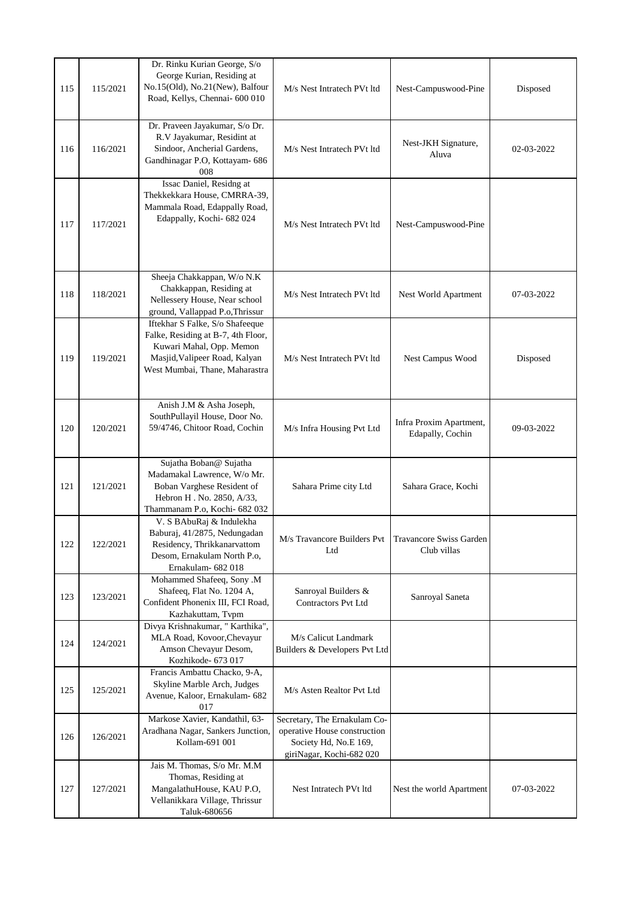| 115 | 115/2021 | Dr. Rinku Kurian George, S/o<br>George Kurian, Residing at<br>No.15(Old), No.21(New), Balfour<br>Road, Kellys, Chennai- 600 010                                      | M/s Nest Intratech PVt ltd                                                                                        | Nest-Campuswood-Pine                        | Disposed   |
|-----|----------|----------------------------------------------------------------------------------------------------------------------------------------------------------------------|-------------------------------------------------------------------------------------------------------------------|---------------------------------------------|------------|
| 116 | 116/2021 | Dr. Praveen Jayakumar, S/o Dr.<br>R.V Jayakumar, Residint at<br>Sindoor, Ancherial Gardens,<br>Gandhinagar P.O, Kottayam- 686<br>008                                 | M/s Nest Intratech PVt ltd                                                                                        | Nest-JKH Signature,<br>Aluva                | 02-03-2022 |
| 117 | 117/2021 | Issac Daniel, Residng at<br>Thekkekkara House, CMRRA-39,<br>Mammala Road, Edappally Road,<br>Edappally, Kochi- 682 024                                               | M/s Nest Intratech PVt ltd                                                                                        | Nest-Campuswood-Pine                        |            |
| 118 | 118/2021 | Sheeja Chakkappan, W/o N.K<br>Chakkappan, Residing at<br>Nellessery House, Near school<br>ground, Vallappad P.o, Thrissur                                            | M/s Nest Intratech PVt ltd                                                                                        | Nest World Apartment                        | 07-03-2022 |
| 119 | 119/2021 | Iftekhar S Falke, S/o Shafeeque<br>Falke, Residing at B-7, 4th Floor,<br>Kuwari Mahal, Opp. Memon<br>Masjid, Valipeer Road, Kalyan<br>West Mumbai, Thane, Maharastra | M/s Nest Intratech PVt ltd                                                                                        | Nest Campus Wood                            | Disposed   |
| 120 | 120/2021 | Anish J.M & Asha Joseph,<br>SouthPullayil House, Door No.<br>59/4746, Chitoor Road, Cochin                                                                           | M/s Infra Housing Pvt Ltd                                                                                         | Infra Proxim Apartment,<br>Edapally, Cochin | 09-03-2022 |
| 121 | 121/2021 | Sujatha Boban@ Sujatha<br>Madamakal Lawrence, W/o Mr.<br>Boban Varghese Resident of<br>Hebron H. No. 2850, A/33,<br>Thammanam P.o, Kochi- 682 032                    | Sahara Prime city Ltd                                                                                             | Sahara Grace, Kochi                         |            |
| 122 | 122/2021 | V. S BAbuRaj & Indulekha<br>Baburaj, 41/2875, Nedungadan<br>Residency, Thrikkanarvattom<br>Desom, Ernakulam North P.o,<br>Ernakulam- 682 018                         | M/s Travancore Builders Pvt<br>Ltd                                                                                | Travancore Swiss Garden<br>Club villas      |            |
| 123 | 123/2021 | Mohammed Shafeeq, Sony .M<br>Shafeeq, Flat No. 1204 A,<br>Confident Phonenix III, FCI Road,<br>Kazhakuttam, Tvpm                                                     | Sanroyal Builders &<br><b>Contractors Pvt Ltd</b>                                                                 | Sanroyal Saneta                             |            |
| 124 | 124/2021 | Divya Krishnakumar, " Karthika",<br>MLA Road, Kovoor, Chevayur<br>Amson Chevayur Desom,<br>Kozhikode- 673 017                                                        | M/s Calicut Landmark<br>Builders & Developers Pvt Ltd                                                             |                                             |            |
| 125 | 125/2021 | Francis Ambattu Chacko, 9-A,<br>Skyline Marble Arch, Judges<br>Avenue, Kaloor, Ernakulam- 682<br>017                                                                 | M/s Asten Realtor Pvt Ltd                                                                                         |                                             |            |
| 126 | 126/2021 | Markose Xavier, Kandathil, 63-<br>Aradhana Nagar, Sankers Junction,<br>Kollam-691 001                                                                                | Secretary, The Ernakulam Co-<br>operative House construction<br>Society Hd, No.E 169,<br>giriNagar, Kochi-682 020 |                                             |            |
| 127 | 127/2021 | Jais M. Thomas, S/o Mr. M.M<br>Thomas, Residing at<br>MangalathuHouse, KAU P.O,<br>Vellanikkara Village, Thrissur<br>Taluk-680656                                    | Nest Intratech PVt ltd                                                                                            | Nest the world Apartment                    | 07-03-2022 |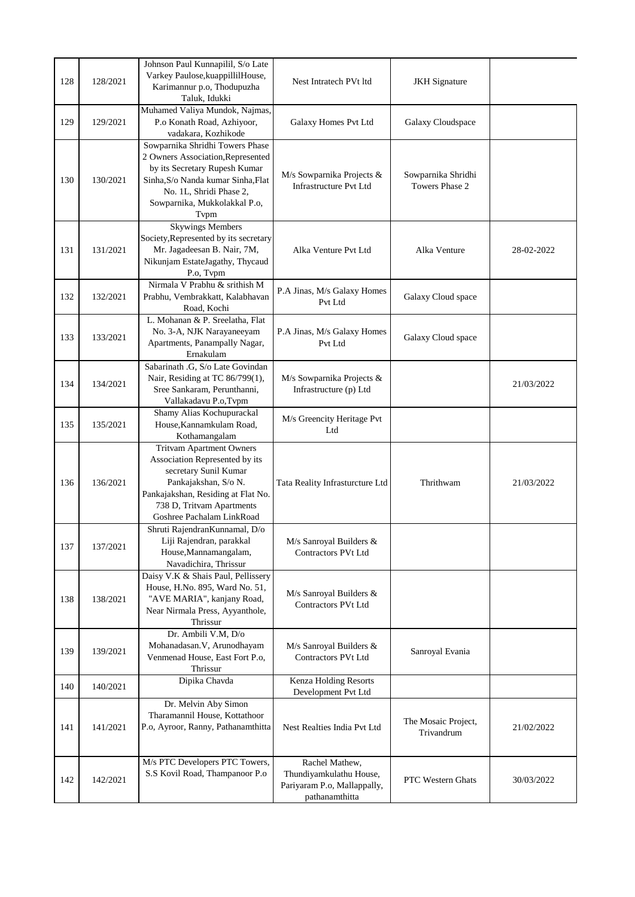| 128 | 128/2021 | Johnson Paul Kunnapilil, S/o Late<br>Varkey Paulose, kuappillilHouse,<br>Karimannur p.o, Thodupuzha<br>Taluk, Idukki                                                                                               | Nest Intratech PVt ltd                                                                     | <b>JKH</b> Signature                 |            |
|-----|----------|--------------------------------------------------------------------------------------------------------------------------------------------------------------------------------------------------------------------|--------------------------------------------------------------------------------------------|--------------------------------------|------------|
| 129 | 129/2021 | Muhamed Valiya Mundok, Najmas,<br>P.o Konath Road, Azhiyoor,<br>vadakara, Kozhikode                                                                                                                                | Galaxy Homes Pvt Ltd                                                                       | Galaxy Cloudspace                    |            |
| 130 | 130/2021 | Sowparnika Shridhi Towers Phase<br>2 Owners Association, Represented<br>by its Secretary Rupesh Kumar<br>Sinha, S/o Nanda kumar Sinha, Flat<br>No. 1L, Shridi Phase 2,<br>Sowparnika, Mukkolakkal P.o,<br>Typm     | M/s Sowparnika Projects &<br><b>Infrastructure Pvt Ltd</b>                                 | Sowparnika Shridhi<br>Towers Phase 2 |            |
| 131 | 131/2021 | <b>Skywings Members</b><br>Society, Represented by its secretary<br>Mr. Jagadeesan B. Nair, 7M,<br>Nikunjam EstateJagathy, Thycaud<br>P.o. Tvpm                                                                    | Alka Venture Pvt Ltd                                                                       | Alka Venture                         | 28-02-2022 |
| 132 | 132/2021 | Nirmala V Prabhu & srithish M<br>Prabhu, Vembrakkatt, Kalabhavan<br>Road, Kochi                                                                                                                                    | P.A Jinas, M/s Galaxy Homes<br>Pvt Ltd                                                     | Galaxy Cloud space                   |            |
| 133 | 133/2021 | L. Mohanan & P. Sreelatha, Flat<br>No. 3-A, NJK Narayaneeyam<br>Apartments, Panampally Nagar,<br>Ernakulam                                                                                                         | P.A Jinas, M/s Galaxy Homes<br>Pvt Ltd                                                     | Galaxy Cloud space                   |            |
| 134 | 134/2021 | Sabarinath .G, S/o Late Govindan<br>Nair, Residing at TC 86/799(1),<br>Sree Sankaram, Perunthanni,<br>Vallakadavu P.o, Tvpm                                                                                        | M/s Sowparnika Projects &<br>Infrastructure (p) Ltd                                        |                                      | 21/03/2022 |
| 135 | 135/2021 | Shamy Alias Kochupurackal<br>House, Kannamkulam Road,<br>Kothamangalam                                                                                                                                             | M/s Greencity Heritage Pvt<br>Ltd                                                          |                                      |            |
| 136 | 136/2021 | <b>Tritvam Apartment Owners</b><br>Association Represented by its<br>secretary Sunil Kumar<br>Pankajakshan, S/o N.<br>Pankajakshan, Residing at Flat No.<br>738 D, Tritvam Apartments<br>Goshree Pachalam LinkRoad | Tata Reality Infrasturcture Ltd                                                            | Thrithwam                            | 21/03/2022 |
| 137 | 137/2021 | Shruti RajendranKunnamal, D/o<br>Liji Rajendran, parakkal<br>House, Mannamangalam,<br>Navadichira, Thrissur                                                                                                        | M/s Sanroyal Builders &<br><b>Contractors PVt Ltd</b>                                      |                                      |            |
| 138 | 138/2021 | Daisy V.K & Shais Paul, Pellissery<br>House, H.No. 895, Ward No. 51,<br>"AVE MARIA", kanjany Road,<br>Near Nirmala Press, Ayyanthole,<br>Thrissur                                                                  | M/s Sanroyal Builders &<br>Contractors PVt Ltd                                             |                                      |            |
| 139 | 139/2021 | Dr. Ambili V.M, D/o<br>Mohanadasan.V, Arunodhayam<br>Venmenad House, East Fort P.o,<br>Thrissur                                                                                                                    | M/s Sanroyal Builders &<br>Contractors PVt Ltd                                             | Sanroyal Evania                      |            |
| 140 | 140/2021 | Dipika Chavda                                                                                                                                                                                                      | Kenza Holding Resorts<br>Development Pvt Ltd                                               |                                      |            |
| 141 | 141/2021 | Dr. Melvin Aby Simon<br>Tharamannil House, Kottathoor<br>P.o, Ayroor, Ranny, Pathanamthitta                                                                                                                        | Nest Realties India Pvt Ltd                                                                | The Mosaic Project,<br>Trivandrum    | 21/02/2022 |
| 142 | 142/2021 | M/s PTC Developers PTC Towers,<br>S.S Kovil Road, Thampanoor P.o                                                                                                                                                   | Rachel Mathew,<br>Thundiyamkulathu House,<br>Pariyaram P.o, Mallappally,<br>pathanamthitta | <b>PTC Western Ghats</b>             | 30/03/2022 |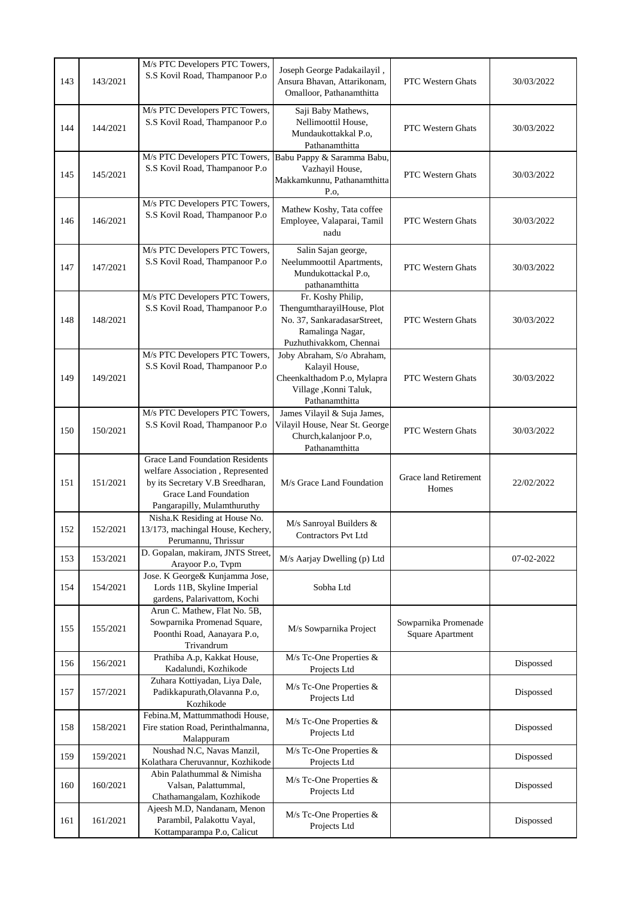| 143 | 143/2021 | M/s PTC Developers PTC Towers,<br>S.S Kovil Road, Thampanoor P.o                                                                                                       | Joseph George Padakailayil,<br>Ansura Bhavan, Attarikonam,<br>Omalloor, Pathanamthitta                                        | <b>PTC Western Ghats</b>                        | 30/03/2022 |
|-----|----------|------------------------------------------------------------------------------------------------------------------------------------------------------------------------|-------------------------------------------------------------------------------------------------------------------------------|-------------------------------------------------|------------|
| 144 | 144/2021 | M/s PTC Developers PTC Towers,<br>S.S Kovil Road, Thampanoor P.o                                                                                                       | Saji Baby Mathews,<br>Nellimoottil House,<br>Mundaukottakkal P.o,<br>Pathanamthitta                                           | <b>PTC</b> Western Ghats                        | 30/03/2022 |
| 145 | 145/2021 | M/s PTC Developers PTC Towers,<br>S.S Kovil Road, Thampanoor P.o                                                                                                       | Babu Pappy & Saramma Babu,<br>Vazhayil House,<br>Makkamkunnu, Pathanamthitta<br>P.o.                                          | PTC Western Ghats                               | 30/03/2022 |
| 146 | 146/2021 | M/s PTC Developers PTC Towers,<br>S.S Kovil Road, Thampanoor P.o                                                                                                       | Mathew Koshy, Tata coffee<br>Employee, Valaparai, Tamil<br>nadu                                                               | <b>PTC</b> Western Ghats                        | 30/03/2022 |
| 147 | 147/2021 | M/s PTC Developers PTC Towers,<br>S.S Kovil Road, Thampanoor P.o                                                                                                       | Salin Sajan george,<br>Neelummoottil Apartments,<br>Mundukottackal P.o,<br>pathanamthitta                                     | PTC Western Ghats                               | 30/03/2022 |
| 148 | 148/2021 | M/s PTC Developers PTC Towers,<br>S.S Kovil Road, Thampanoor P.o                                                                                                       | Fr. Koshy Philip,<br>ThengumtharayilHouse, Plot<br>No. 37, SankaradasarStreet,<br>Ramalinga Nagar,<br>Puzhuthivakkom, Chennai | <b>PTC Western Ghats</b>                        | 30/03/2022 |
| 149 | 149/2021 | M/s PTC Developers PTC Towers,<br>S.S Kovil Road, Thampanoor P.o                                                                                                       | Joby Abraham, S/o Abraham,<br>Kalayil House,<br>Cheenkalthadom P.o, Mylapra<br>Village , Konni Taluk,<br>Pathanamthitta       | PTC Western Ghats                               | 30/03/2022 |
| 150 | 150/2021 | M/s PTC Developers PTC Towers,<br>S.S Kovil Road, Thampanoor P.o                                                                                                       | James Vilayil & Suja James,<br>Vilayil House, Near St. George<br>Church, kalanjoor P.o,<br>Pathanamthitta                     | PTC Western Ghats                               | 30/03/2022 |
| 151 | 151/2021 | <b>Grace Land Foundation Residents</b><br>welfare Association, Represented<br>by its Secretary V.B Sreedharan,<br>Grace Land Foundation<br>Pangarapilly, Mulamthuruthy | M/s Grace Land Foundation                                                                                                     | Grace land Retirement<br>Homes                  | 22/02/2022 |
| 152 | 152/2021 | Nisha.K Residing at House No.<br>13/173, machingal House, Kechery,<br>Perumannu, Thrissur                                                                              | M/s Sanroyal Builders &<br><b>Contractors Pvt Ltd</b>                                                                         |                                                 |            |
| 153 | 153/2021 | D. Gopalan, makiram, JNTS Street,<br>Arayoor P.o, Tvpm                                                                                                                 | M/s Aarjay Dwelling (p) Ltd                                                                                                   |                                                 | 07-02-2022 |
| 154 | 154/2021 | Jose. K George & Kunjamma Jose,<br>Lords 11B, Skyline Imperial<br>gardens, Palarivattom, Kochi                                                                         | Sobha Ltd                                                                                                                     |                                                 |            |
| 155 | 155/2021 | Arun C. Mathew, Flat No. 5B,<br>Sowparnika Promenad Square,<br>Poonthi Road, Aanayara P.o,<br>Trivandrum                                                               | M/s Sowparnika Project                                                                                                        | Sowparnika Promenade<br><b>Square Apartment</b> |            |
| 156 | 156/2021 | Prathiba A.p, Kakkat House,<br>Kadalundi, Kozhikode                                                                                                                    | M/s Tc-One Properties &<br>Projects Ltd                                                                                       |                                                 | Dispossed  |
| 157 | 157/2021 | Zuhara Kottiyadan, Liya Dale,<br>Padikkapurath, Olavanna P.o,<br>Kozhikode                                                                                             | M/s Tc-One Properties &<br>Projects Ltd                                                                                       |                                                 | Dispossed  |
| 158 | 158/2021 | Febina.M, Mattummathodi House,<br>Fire station Road, Perinthalmanna,<br>Malappuram                                                                                     | M/s Tc-One Properties &<br>Projects Ltd                                                                                       |                                                 | Dispossed  |
| 159 | 159/2021 | Noushad N.C, Navas Manzil,<br>Kolathara Cheruvannur, Kozhikode                                                                                                         | M/s Tc-One Properties &<br>Projects Ltd                                                                                       |                                                 | Dispossed  |
| 160 | 160/2021 | Abin Palathummal & Nimisha<br>Valsan, Palattummal,<br>Chathamangalam, Kozhikode                                                                                        | $M/s$ Tc-One Properties &<br>Projects Ltd                                                                                     |                                                 | Dispossed  |
| 161 | 161/2021 | Ajeesh M.D, Nandanam, Menon<br>Parambil, Palakottu Vayal,<br>Kottamparampa P.o, Calicut                                                                                | M/s Tc-One Properties &<br>Projects Ltd                                                                                       |                                                 | Dispossed  |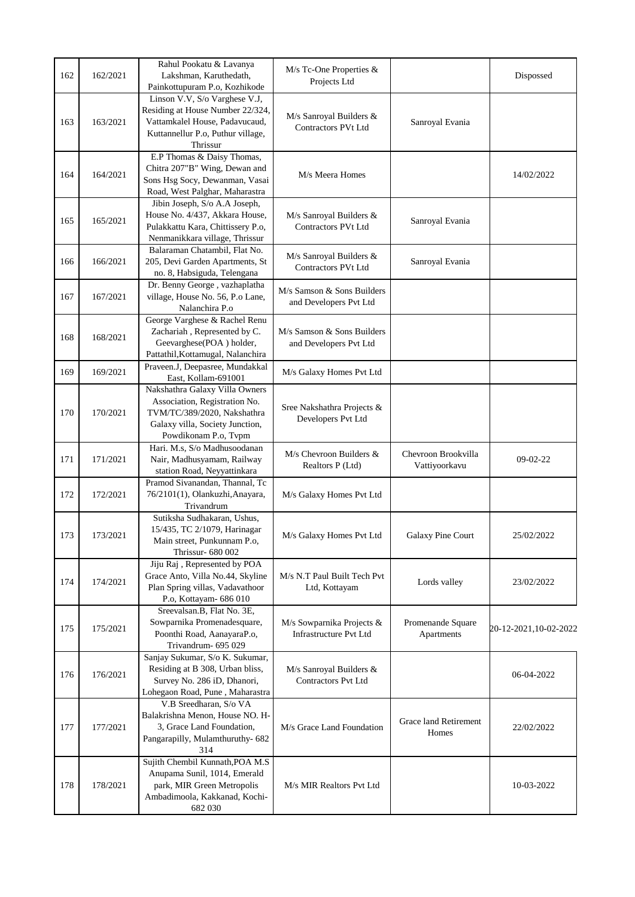| 162 | 162/2021 | Rahul Pookatu & Lavanya<br>Lakshman, Karuthedath,<br>Painkottupuram P.o, Kozhikode                                                                        | M/s Tc-One Properties &<br>Projects Ltd                    |                                      | Dispossed             |
|-----|----------|-----------------------------------------------------------------------------------------------------------------------------------------------------------|------------------------------------------------------------|--------------------------------------|-----------------------|
| 163 | 163/2021 | Linson V.V, S/o Varghese V.J,<br>Residing at House Number 22/324,<br>Vattamkalel House, Padavucaud,<br>Kuttannellur P.o, Puthur village,<br>Thrissur      | M/s Sanroyal Builders &<br>Contractors PVt Ltd             | Sanroyal Evania                      |                       |
| 164 | 164/2021 | E.P Thomas & Daisy Thomas,<br>Chitra 207"B" Wing, Dewan and<br>Sons Hsg Socy, Dewanman, Vasai<br>Road, West Palghar, Maharastra                           | M/s Meera Homes                                            |                                      | 14/02/2022            |
| 165 | 165/2021 | Jibin Joseph, S/o A.A Joseph,<br>House No. 4/437, Akkara House,<br>Pulakkattu Kara, Chittissery P.o,<br>Nenmanikkara village, Thrissur                    | M/s Sanroyal Builders &<br><b>Contractors PVt Ltd</b>      | Sanroyal Evania                      |                       |
| 166 | 166/2021 | Balaraman Chatambil, Flat No.<br>205, Devi Garden Apartments, St<br>no. 8, Habsiguda, Telengana                                                           | M/s Sanroyal Builders &<br><b>Contractors PVt Ltd</b>      | Sanroyal Evania                      |                       |
| 167 | 167/2021 | Dr. Benny George, vazhaplatha<br>village, House No. 56, P.o Lane,<br>Nalanchira P.o                                                                       | M/s Samson & Sons Builders<br>and Developers Pvt Ltd       |                                      |                       |
| 168 | 168/2021 | George Varghese & Rachel Renu<br>Zachariah, Represented by C.<br>Geevarghese(POA) holder,<br>Pattathil, Kottamugal, Nalanchira                            | M/s Samson & Sons Builders<br>and Developers Pvt Ltd       |                                      |                       |
| 169 | 169/2021 | Praveen.J, Deepasree, Mundakkal<br>East, Kollam-691001                                                                                                    | M/s Galaxy Homes Pvt Ltd                                   |                                      |                       |
| 170 | 170/2021 | Nakshathra Galaxy Villa Owners<br>Association, Registration No.<br>TVM/TC/389/2020, Nakshathra<br>Galaxy villa, Society Junction,<br>Powdikonam P.o, Tvpm | Sree Nakshathra Projects &<br>Developers Pvt Ltd           |                                      |                       |
| 171 | 171/2021 | Hari. M.s, S/o Madhusoodanan<br>Nair, Madhusyamam, Railway<br>station Road, Neyyattinkara                                                                 | M/s Chevroon Builders &<br>Realtors P (Ltd)                | Chevroon Brookvilla<br>Vattiyoorkavu | $09-02-22$            |
| 172 | 172/2021 | Pramod Sivanandan, Thannal, Tc<br>76/2101(1), Olankuzhi, Anayara,<br>Trivandrum                                                                           | M/s Galaxy Homes Pvt Ltd                                   |                                      |                       |
| 173 | 173/2021 | Sutiksha Sudhakaran, Ushus,<br>15/435, TC 2/1079, Harinagar<br>Main street, Punkunnam P.o,<br>Thrissur- 680 002                                           | M/s Galaxy Homes Pvt Ltd                                   | Galaxy Pine Court                    | 25/02/2022            |
| 174 | 174/2021 | Jiju Raj, Represented by POA<br>Grace Anto, Villa No.44, Skyline<br>Plan Spring villas, Vadavathoor<br>P.o, Kottayam- 686 010                             | M/s N.T Paul Built Tech Pvt<br>Ltd, Kottayam               | Lords valley                         | 23/02/2022            |
| 175 | 175/2021 | Sreevalsan.B, Flat No. 3E,<br>Sowparnika Promenadesquare,<br>Poonthi Road, AanayaraP.o,<br>Trivandrum- 695 029                                            | M/s Sowparnika Projects &<br><b>Infrastructure Pvt Ltd</b> | Promenande Square<br>Apartments      | 20-12-2021,10-02-2022 |
| 176 | 176/2021 | Sanjay Sukumar, S/o K. Sukumar,<br>Residing at B 308, Urban bliss,<br>Survey No. 286 iD, Dhanori,<br>Lohegaon Road, Pune, Maharastra                      | M/s Sanroyal Builders &<br><b>Contractors Pvt Ltd</b>      |                                      | 06-04-2022            |
| 177 | 177/2021 | V.B Sreedharan, S/o VA<br>Balakrishna Menon, House NO. H-<br>3, Grace Land Foundation,<br>Pangarapilly, Mulamthuruthy- 682<br>314                         | M/s Grace Land Foundation                                  | Grace land Retirement<br>Homes       | 22/02/2022            |
| 178 | 178/2021 | Sujith Chembil Kunnath, POA M.S<br>Anupama Sunil, 1014, Emerald<br>park, MIR Green Metropolis<br>Ambadimoola, Kakkanad, Kochi-<br>682 030                 | M/s MIR Realtors Pvt Ltd                                   |                                      | 10-03-2022            |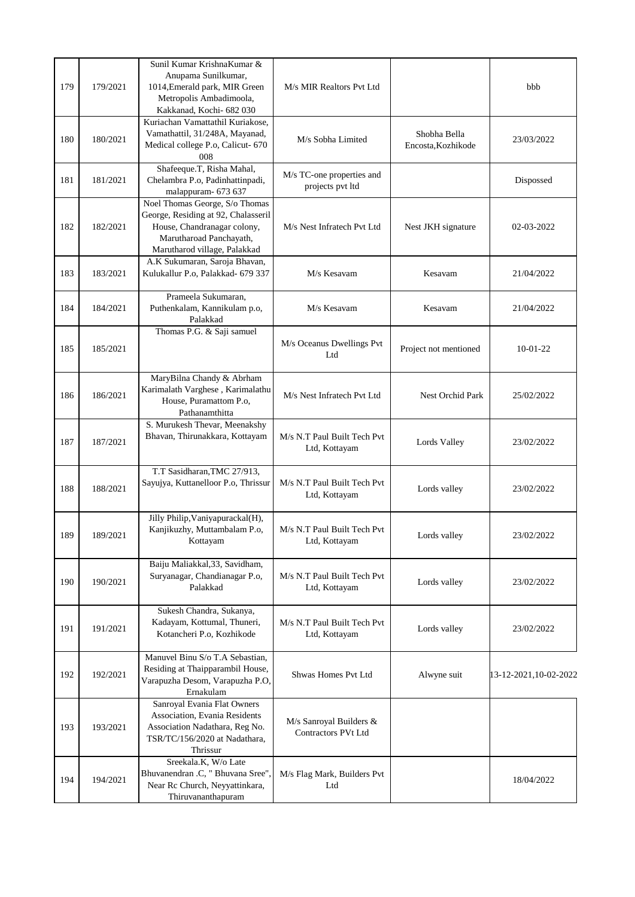| 179 | 179/2021 | Sunil Kumar KrishnaKumar &<br>Anupama Sunilkumar,<br>1014, Emerald park, MIR Green<br>Metropolis Ambadimoola,<br>Kakkanad, Kochi- 682 030                       | M/s MIR Realtors Pvt Ltd                       |                                    | bbb                   |
|-----|----------|-----------------------------------------------------------------------------------------------------------------------------------------------------------------|------------------------------------------------|------------------------------------|-----------------------|
| 180 | 180/2021 | Kuriachan Vamattathil Kuriakose,<br>Vamathattil, 31/248A, Mayanad,<br>Medical college P.o, Calicut- 670<br>008                                                  | M/s Sobha Limited                              | Shobha Bella<br>Encosta, Kozhikode | 23/03/2022            |
| 181 | 181/2021 | Shafeeque.T, Risha Mahal,<br>Chelambra P.o, Padinhattinpadi,<br>malappuram- 673 637                                                                             | M/s TC-one properties and<br>projects pvt ltd  |                                    | Dispossed             |
| 182 | 182/2021 | Noel Thomas George, S/o Thomas<br>George, Residing at 92, Chalasseril<br>House, Chandranagar colony,<br>Marutharoad Panchayath,<br>Marutharod village, Palakkad | M/s Nest Infratech Pvt Ltd                     | Nest JKH signature                 | 02-03-2022            |
| 183 | 183/2021 | A.K Sukumaran, Saroja Bhavan,<br>Kulukallur P.o, Palakkad- 679 337                                                                                              | M/s Kesavam                                    | Kesavam                            | 21/04/2022            |
| 184 | 184/2021 | Prameela Sukumaran,<br>Puthenkalam, Kannikulam p.o,<br>Palakkad                                                                                                 | M/s Kesavam                                    | Kesavam                            | 21/04/2022            |
| 185 | 185/2021 | Thomas P.G. & Saji samuel                                                                                                                                       | M/s Oceanus Dwellings Pvt<br>Ltd               | Project not mentioned              | $10-01-22$            |
| 186 | 186/2021 | MaryBilna Chandy & Abrham<br>Karimalath Varghese, Karimalathu<br>House, Puramattom P.o,<br>Pathanamthitta                                                       | M/s Nest Infratech Pvt Ltd                     | Nest Orchid Park                   | 25/02/2022            |
| 187 | 187/2021 | S. Murukesh Thevar, Meenakshy<br>Bhavan, Thirunakkara, Kottayam                                                                                                 | M/s N.T Paul Built Tech Pvt<br>Ltd, Kottayam   | Lords Valley                       | 23/02/2022            |
| 188 | 188/2021 | T.T Sasidharan, TMC 27/913,<br>Sayujya, Kuttanelloor P.o, Thrissur                                                                                              | M/s N.T Paul Built Tech Pvt<br>Ltd, Kottayam   | Lords valley                       | 23/02/2022            |
| 189 | 189/2021 | Jilly Philip, Vaniyapurackal(H),<br>Kanjikuzhy, Muttambalam P.o,<br>Kottayam                                                                                    | M/s N.T Paul Built Tech Pvt<br>Ltd, Kottayam   | Lords valley                       | 23/02/2022            |
| 190 | 190/2021 | Baiju Maliakkal, 33, Savidham,<br>Suryanagar, Chandianagar P.o,<br>Palakkad                                                                                     | M/s N.T Paul Built Tech Pvt<br>Ltd, Kottayam   | Lords valley                       | 23/02/2022            |
| 191 | 191/2021 | Sukesh Chandra, Sukanya,<br>Kadayam, Kottumal, Thuneri,<br>Kotancheri P.o, Kozhikode                                                                            | M/s N.T Paul Built Tech Pvt<br>Ltd, Kottayam   | Lords valley                       | 23/02/2022            |
| 192 | 192/2021 | Manuvel Binu S/o T.A Sebastian,<br>Residing at Thaipparambil House,<br>Varapuzha Desom, Varapuzha P.O,<br>Ernakulam                                             | Shwas Homes Pvt Ltd                            | Alwyne suit                        | 13-12-2021,10-02-2022 |
| 193 | 193/2021 | Sanroyal Evania Flat Owners<br>Association, Evania Residents<br>Association Nadathara, Reg No.<br>TSR/TC/156/2020 at Nadathara,<br>Thrissur                     | M/s Sanroyal Builders &<br>Contractors PVt Ltd |                                    |                       |
| 194 | 194/2021 | Sreekala.K, W/o Late<br>Bhuvanendran .C, " Bhuvana Sree",<br>Near Rc Church, Neyyattinkara,<br>Thiruvananthapuram                                               | M/s Flag Mark, Builders Pvt<br>Ltd             |                                    | 18/04/2022            |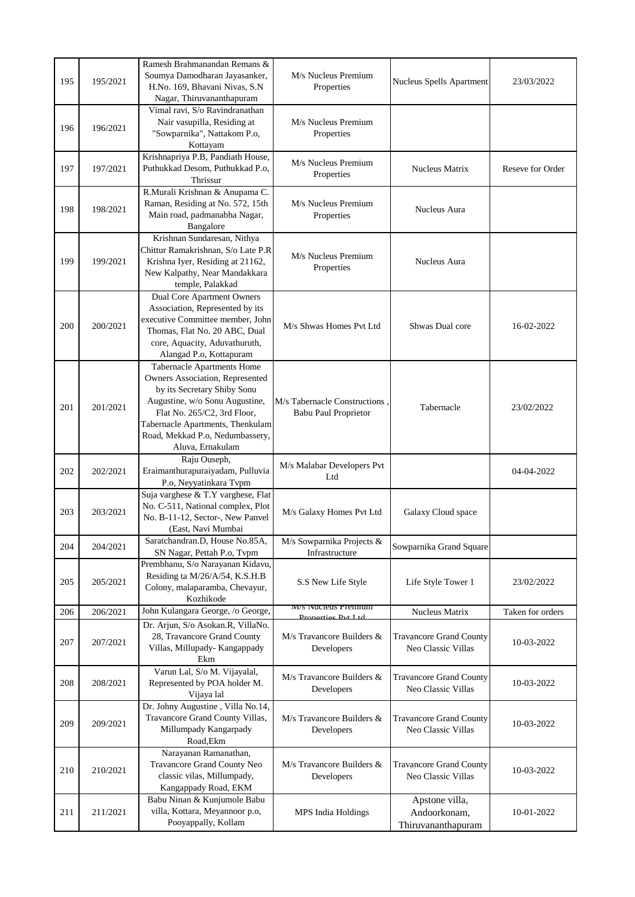| 195 | 195/2021 | Ramesh Brahmanandan Remans &<br>Soumya Damodharan Jayasanker,<br>H.No. 169, Bhavani Nivas, S.N<br>Nagar, Thiruvananthapuram                                                                                                                                     | M/s Nucleus Premium<br>Properties                            | Nucleus Spells Apartment                             | 23/03/2022       |
|-----|----------|-----------------------------------------------------------------------------------------------------------------------------------------------------------------------------------------------------------------------------------------------------------------|--------------------------------------------------------------|------------------------------------------------------|------------------|
| 196 | 196/2021 | Vimal ravi, S/o Ravindranathan<br>Nair vasupilla, Residing at<br>"Sowparnika", Nattakom P.o,<br>Kottayam                                                                                                                                                        | M/s Nucleus Premium<br>Properties                            |                                                      |                  |
| 197 | 197/2021 | Krishnapriya P.B, Pandiath House,<br>Puthukkad Desom, Puthukkad P.o,<br>Thrissur                                                                                                                                                                                | M/s Nucleus Premium<br>Properties                            | <b>Nucleus Matrix</b>                                | Reseve for Order |
| 198 | 198/2021 | R.Murali Krishnan & Anupama C.<br>Raman, Residing at No. 572, 15th<br>Main road, padmanabha Nagar,<br>Bangalore                                                                                                                                                 | M/s Nucleus Premium<br>Properties                            | Nucleus Aura                                         |                  |
| 199 | 199/2021 | Krishnan Sundaresan, Nithya<br>Chittur Ramakrishnan, S/o Late P.R<br>Krishna Iyer, Residing at 21162,<br>New Kalpathy, Near Mandakkara<br>temple, Palakkad                                                                                                      | M/s Nucleus Premium<br>Properties                            | Nucleus Aura                                         |                  |
| 200 | 200/2021 | <b>Dual Core Apartment Owners</b><br>Association, Represented by its<br>executive Committee member, John<br>Thomas, Flat No. 20 ABC, Dual<br>core, Aquacity, Aduvathuruth,<br>Alangad P.o, Kottapuram                                                           | M/s Shwas Homes Pvt Ltd                                      | Shwas Dual core                                      | 16-02-2022       |
| 201 | 201/2021 | Tabernacle Apartments Home<br><b>Owners Association, Represented</b><br>by its Secretary Shiby Sonu<br>Augustine, w/o Sonu Augustine,<br>Flat No. 265/C2, 3rd Floor,<br>Tabernacle Apartments, Thenkulam<br>Road, Mekkad P.o, Nedumbassery,<br>Aluva, Ernakulam | M/s Tabernacle Constructions,<br><b>Babu Paul Proprietor</b> | Tabernacle                                           | 23/02/2022       |
| 202 | 202/2021 | Raju Ouseph,<br>Eraimanthurapuraiyadam, Pulluvia<br>P.o, Neyyatinkara Tvpm                                                                                                                                                                                      | M/s Malabar Developers Pvt<br>Ltd                            |                                                      | 04-04-2022       |
| 203 | 203/2021 | Suja varghese & T.Y varghese, Flat<br>No. C-511, National complex, Plot<br>No. B-11-12, Sector-, New Panvel<br>(East, Navi Mumbai                                                                                                                               | M/s Galaxy Homes Pvt Ltd                                     | Galaxy Cloud space                                   |                  |
| 204 | 204/2021 | Saratchandran.D, House No.85A,<br>SN Nagar, Pettah P.o, Tvpm                                                                                                                                                                                                    | M/s Sowparnika Projects &<br>Infrastructure                  | Sowparnika Grand Square                              |                  |
| 205 | 205/2021 | Prembhanu, S/o Narayanan Kidavu,<br>Residing ta M/26/A/54, K.S.H.B<br>Colony, malaparamba, Chevayur,<br>Kozhikode                                                                                                                                               | S.S New Life Style                                           | Life Style Tower 1                                   | 23/02/2022       |
| 206 | 206/2021 | John Kulangara George, /o George,                                                                                                                                                                                                                               | <b>M/S NUCleus Premium</b><br><b>Droportiac Dut I td</b>     | Nucleus Matrix                                       | Taken for orders |
| 207 | 207/2021 | Dr. Arjun, S/o Asokan.R, VillaNo.<br>28, Travancore Grand County<br>Villas, Millupady- Kangappady<br>Ekm                                                                                                                                                        | M/s Travancore Builders &<br>Developers                      | <b>Travancore Grand County</b><br>Neo Classic Villas | 10-03-2022       |
| 208 | 208/2021 | Varun Lal, S/o M. Vijayalal,<br>Represented by POA holder M.<br>Vijaya lal                                                                                                                                                                                      | M/s Travancore Builders &<br>Developers                      | <b>Travancore Grand County</b><br>Neo Classic Villas | 10-03-2022       |
| 209 | 209/2021 | Dr. Johny Augustine, Villa No.14,<br>Travancore Grand County Villas,<br>Millumpady Kangarpady<br>Road, Ekm                                                                                                                                                      | M/s Travancore Builders &<br>Developers                      | <b>Travancore Grand County</b><br>Neo Classic Villas | 10-03-2022       |
| 210 | 210/2021 | Narayanan Ramanathan,<br>Travancore Grand County Neo<br>classic vilas, Millumpady,<br>Kangappady Road, EKM                                                                                                                                                      | M/s Travancore Builders &<br>Developers                      | <b>Travancore Grand County</b><br>Neo Classic Villas | 10-03-2022       |
| 211 | 211/2021 | Babu Ninan & Kunjumole Babu<br>villa, Kottara, Meyannoor p.o,<br>Pooyappally, Kollam                                                                                                                                                                            | MPS India Holdings                                           | Apstone villa,<br>Andoorkonam,<br>Thiruvananthapuram | 10-01-2022       |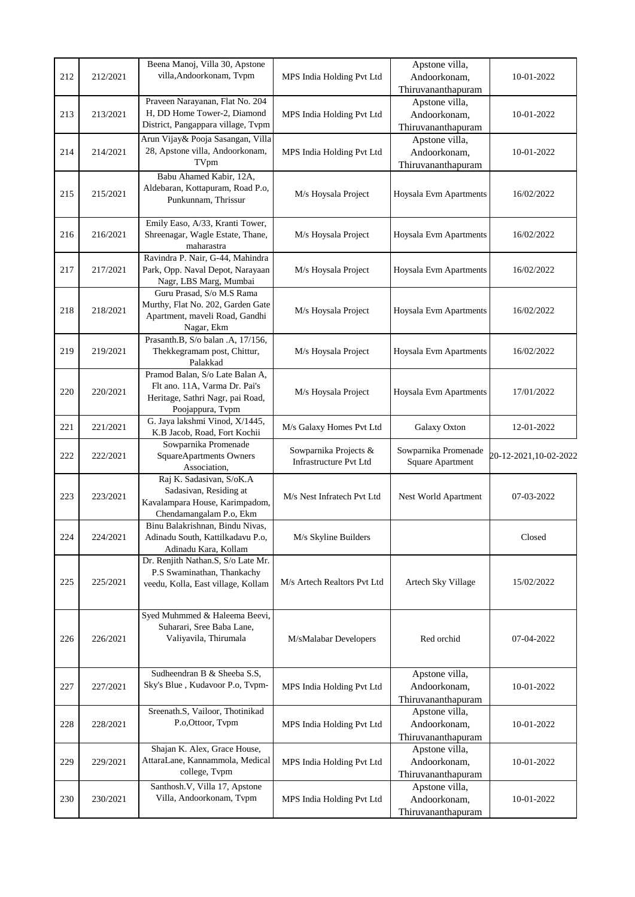|     |          | Beena Manoj, Villa 30, Apstone                                      |                               | Apstone villa,                     |                       |
|-----|----------|---------------------------------------------------------------------|-------------------------------|------------------------------------|-----------------------|
| 212 | 212/2021 | villa, Andoorkonam, Tvpm                                            | MPS India Holding Pvt Ltd     | Andoorkonam,                       | 10-01-2022            |
|     |          |                                                                     |                               | Thiruvananthapuram                 |                       |
|     |          | Praveen Narayanan, Flat No. 204                                     |                               | Apstone villa,                     |                       |
| 213 | 213/2021 | H, DD Home Tower-2, Diamond                                         | MPS India Holding Pvt Ltd     | Andoorkonam,                       | 10-01-2022            |
|     |          | District, Pangappara village, Tvpm                                  |                               | Thiruvananthapuram                 |                       |
|     |          | Arun Vijay& Pooja Sasangan, Villa                                   |                               | Apstone villa,                     |                       |
| 214 | 214/2021 | 28, Apstone villa, Andoorkonam,                                     | MPS India Holding Pvt Ltd     | Andoorkonam,                       | 10-01-2022            |
|     |          | TVpm                                                                |                               | Thiruvananthapuram                 |                       |
|     |          | Babu Ahamed Kabir, 12A,                                             |                               |                                    |                       |
|     |          | Aldebaran, Kottapuram, Road P.o,                                    |                               |                                    |                       |
| 215 | 215/2021 | Punkunnam, Thrissur                                                 | M/s Hoysala Project           | Hoysala Evm Apartments             | 16/02/2022            |
|     |          |                                                                     |                               |                                    |                       |
|     |          | Emily Easo, A/33, Kranti Tower,                                     |                               |                                    |                       |
| 216 | 216/2021 | Shreenagar, Wagle Estate, Thane,                                    | M/s Hoysala Project           | Hoysala Evm Apartments             | 16/02/2022            |
|     |          | maharastra                                                          |                               |                                    |                       |
|     |          | Ravindra P. Nair, G-44, Mahindra                                    |                               |                                    |                       |
| 217 | 217/2021 | Park, Opp. Naval Depot, Narayaan                                    | M/s Hoysala Project           | Hoysala Evm Apartments             | 16/02/2022            |
|     |          | Nagr, LBS Marg, Mumbai                                              |                               |                                    |                       |
|     |          | Guru Prasad, S/o M.S Rama                                           |                               |                                    |                       |
| 218 | 218/2021 | Murthy, Flat No. 202, Garden Gate<br>Apartment, maveli Road, Gandhi | M/s Hoysala Project           | Hoysala Evm Apartments             | 16/02/2022            |
|     |          | Nagar, Ekm                                                          |                               |                                    |                       |
|     |          | Prasanth.B, S/o balan .A, 17/156,                                   |                               |                                    |                       |
| 219 | 219/2021 | Thekkegramam post, Chittur,                                         | M/s Hoysala Project           | Hoysala Evm Apartments             | 16/02/2022            |
|     |          | Palakkad                                                            |                               |                                    |                       |
|     |          | Pramod Balan, S/o Late Balan A,                                     |                               |                                    |                       |
|     |          | Flt ano. 11A, Varma Dr. Pai's                                       |                               |                                    |                       |
| 220 | 220/2021 | Heritage, Sathri Nagr, pai Road,                                    | M/s Hoysala Project           | Hoysala Evm Apartments             | 17/01/2022            |
|     |          | Poojappura, Tvpm                                                    |                               |                                    |                       |
|     |          | G. Jaya lakshmi Vinod, X/1445,                                      |                               |                                    |                       |
| 221 | 221/2021 | K.B Jacob, Road, Fort Kochii                                        | M/s Galaxy Homes Pvt Ltd      | Galaxy Oxton                       | 12-01-2022            |
|     |          | Sowparnika Promenade                                                |                               |                                    |                       |
|     |          |                                                                     |                               |                                    |                       |
| 222 | 222/2021 | SquareApartments Owners                                             | Sowparnika Projects &         | Sowparnika Promenade               | 20-12-2021,10-02-2022 |
|     |          | Association,                                                        | <b>Infrastructure Pvt Ltd</b> | Square Apartment                   |                       |
|     |          | Raj K. Sadasivan, S/oK.A                                            |                               |                                    |                       |
|     | 223/2021 | Sadasivan, Residing at                                              |                               |                                    | 07-03-2022            |
| 223 |          | Kavalampara House, Karimpadom,                                      | M/s Nest Infratech Pvt Ltd    | Nest World Apartment               |                       |
|     |          | Chendamangalam P.o, Ekm                                             |                               |                                    |                       |
|     |          | Binu Balakrishnan, Bindu Nivas,                                     |                               |                                    |                       |
| 224 | 224/2021 | Adinadu South, Kattilkadavu P.o.                                    | M/s Skyline Builders          |                                    | Closed                |
|     |          | Adinadu Kara, Kollam                                                |                               |                                    |                       |
|     |          | Dr. Renjith Nathan.S, S/o Late Mr.                                  |                               |                                    |                       |
| 225 | 225/2021 | P.S Swaminathan, Thankachy                                          | M/s Artech Realtors Pvt Ltd   | Artech Sky Village                 | 15/02/2022            |
|     |          | veedu, Kolla, East village, Kollam                                  |                               |                                    |                       |
|     |          |                                                                     |                               |                                    |                       |
|     |          | Syed Muhmmed & Haleema Beevi,                                       |                               |                                    |                       |
|     |          | Suharari, Sree Baba Lane,                                           |                               |                                    |                       |
| 226 | 226/2021 | Valiyavila, Thirumala                                               | M/sMalabar Developers         | Red orchid                         | 07-04-2022            |
|     |          |                                                                     |                               |                                    |                       |
|     |          |                                                                     |                               |                                    |                       |
|     |          | Sudheendran B & Sheeba S.S,                                         |                               | Apstone villa,                     |                       |
| 227 | 227/2021 | Sky's Blue, Kudavoor P.o, Tvpm-                                     | MPS India Holding Pvt Ltd     | Andoorkonam,                       | 10-01-2022            |
|     |          |                                                                     |                               | Thiruvananthapuram                 |                       |
|     |          | Sreenath.S, Vailoor, Thotinikad                                     |                               | Apstone villa,                     |                       |
| 228 | 228/2021 | P.o, Ottoor, Tvpm                                                   | MPS India Holding Pvt Ltd     | Andoorkonam,                       | 10-01-2022            |
|     |          |                                                                     |                               | Thiruvananthapuram                 |                       |
|     |          | Shajan K. Alex, Grace House,                                        |                               | Apstone villa,                     |                       |
| 229 | 229/2021 | AttaraLane, Kannammola, Medical                                     | MPS India Holding Pvt Ltd     | Andoorkonam,                       | 10-01-2022            |
|     |          | college, Tvpm                                                       |                               | Thiruvananthapuram                 |                       |
|     |          | Santhosh.V, Villa 17, Apstone                                       |                               | Apstone villa,                     |                       |
| 230 | 230/2021 | Villa, Andoorkonam, Tvpm                                            | MPS India Holding Pvt Ltd     | Andoorkonam,<br>Thiruvananthapuram | 10-01-2022            |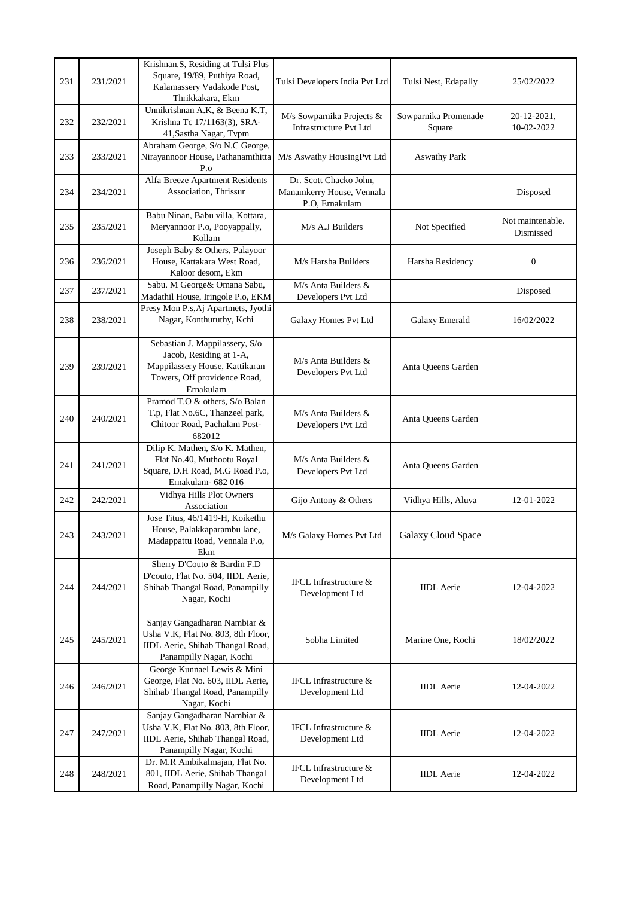| 231 | 231/2021 | Krishnan.S, Residing at Tulsi Plus<br>Square, 19/89, Puthiya Road,<br>Kalamassery Vadakode Post,<br>Thrikkakara, Ekm                     | Tulsi Developers India Pvt Ltd                                        | Tulsi Nest, Edapally           | 25/02/2022                    |
|-----|----------|------------------------------------------------------------------------------------------------------------------------------------------|-----------------------------------------------------------------------|--------------------------------|-------------------------------|
| 232 | 232/2021 | Unnikrishnan A.K, & Beena K.T,<br>Krishna Tc 17/1163(3), SRA-<br>41, Sastha Nagar, Tvpm                                                  | M/s Sowparnika Projects &<br><b>Infrastructure Pvt Ltd</b>            | Sowparnika Promenade<br>Square | 20-12-2021,<br>10-02-2022     |
| 233 | 233/2021 | Abraham George, S/o N.C George,<br>Nirayannoor House, Pathanamthitta<br>$P_{.0}$                                                         | M/s Aswathy HousingPvt Ltd                                            | <b>Aswathy Park</b>            |                               |
| 234 | 234/2021 | Alfa Breeze Apartment Residents<br>Association, Thrissur                                                                                 | Dr. Scott Chacko John,<br>Manamkerry House, Vennala<br>P.O, Ernakulam |                                | Disposed                      |
| 235 | 235/2021 | Babu Ninan, Babu villa, Kottara,<br>Meryannoor P.o, Pooyappally,<br>Kollam                                                               | M/s A.J Builders                                                      | Not Specified                  | Not maintenable.<br>Dismissed |
| 236 | 236/2021 | Joseph Baby & Others, Palayoor<br>House, Kattakara West Road,<br>Kaloor desom, Ekm                                                       | M/s Harsha Builders                                                   | Harsha Residency               | $\boldsymbol{0}$              |
| 237 | 237/2021 | Sabu. M George & Omana Sabu,<br>Madathil House, Iringole P.o, EKM                                                                        | M/s Anta Builders &<br>Developers Pvt Ltd                             |                                | Disposed                      |
| 238 | 238/2021 | Presy Mon P.s, Aj Apartmets, Jyothi<br>Nagar, Konthuruthy, Kchi                                                                          | Galaxy Homes Pvt Ltd                                                  | Galaxy Emerald                 | 16/02/2022                    |
| 239 | 239/2021 | Sebastian J. Mappilassery, S/o<br>Jacob, Residing at 1-A,<br>Mappilassery House, Kattikaran<br>Towers, Off providence Road,<br>Ernakulam | $M/s$ Anta Builders &<br>Developers Pvt Ltd                           | Anta Oueens Garden             |                               |
| 240 | 240/2021 | Pramod T.O & others, S/o Balan<br>T.p, Flat No.6C, Thanzeel park,<br>Chitoor Road, Pachalam Post-<br>682012                              | $M/s$ Anta Builders $&$<br>Developers Pvt Ltd                         | Anta Queens Garden             |                               |
| 241 | 241/2021 | Dilip K. Mathen, S/o K. Mathen,<br>Flat No.40, Muthootu Royal<br>Square, D.H Road, M.G Road P.o.<br>Ernakulam- 682 016                   | $M/s$ Anta Builders $&$<br>Developers Pvt Ltd                         | Anta Queens Garden             |                               |
| 242 | 242/2021 | Vidhya Hills Plot Owners<br>Association                                                                                                  | Gijo Antony & Others                                                  | Vidhya Hills, Aluva            | 12-01-2022                    |
| 243 | 243/2021 | Jose Titus, 46/1419-H, Koikethu<br>House, Palakkaparambu lane,<br>Madappattu Road, Vennala P.o,<br>Ekm                                   | M/s Galaxy Homes Pvt Ltd                                              | <b>Galaxy Cloud Space</b>      |                               |
| 244 | 244/2021 | Sherry D'Couto & Bardin F.D<br>D'couto, Flat No. 504, IIDL Aerie,<br>Shihab Thangal Road, Panampilly<br>Nagar, Kochi                     | IFCL Infrastructure &<br>Development Ltd                              | <b>IIDL</b> Aerie              | 12-04-2022                    |
| 245 | 245/2021 | Sanjay Gangadharan Nambiar &<br>Usha V.K, Flat No. 803, 8th Floor,<br>IIDL Aerie, Shihab Thangal Road,<br>Panampilly Nagar, Kochi        | Sobha Limited                                                         | Marine One, Kochi              | 18/02/2022                    |
| 246 | 246/2021 | George Kunnael Lewis & Mini<br>George, Flat No. 603, IIDL Aerie,<br>Shihab Thangal Road, Panampilly<br>Nagar, Kochi                      | IFCL Infrastructure &<br>Development Ltd                              | <b>IIDL</b> Aerie              | 12-04-2022                    |
| 247 | 247/2021 | Sanjay Gangadharan Nambiar &<br>Usha V.K, Flat No. 803, 8th Floor,<br>IIDL Aerie, Shihab Thangal Road,<br>Panampilly Nagar, Kochi        | IFCL Infrastructure &<br>Development Ltd                              | <b>IIDL</b> Aerie              | 12-04-2022                    |
| 248 | 248/2021 | Dr. M.R Ambikalmajan, Flat No.<br>801, IIDL Aerie, Shihab Thangal<br>Road, Panampilly Nagar, Kochi                                       | IFCL Infrastructure &<br>Development Ltd                              | <b>IIDL</b> Aerie              | 12-04-2022                    |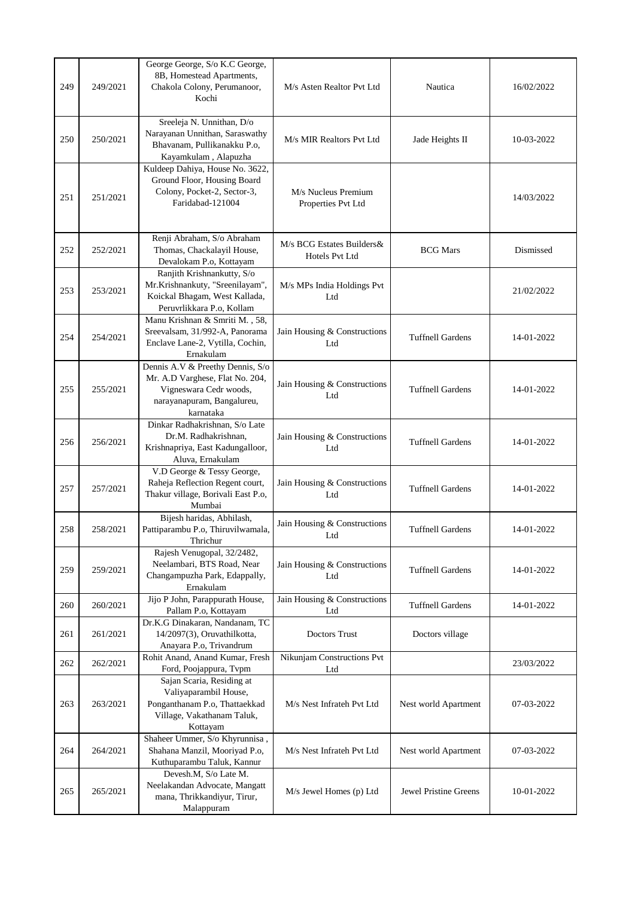| 249 | 249/2021 | George George, S/o K.C George,<br>8B, Homestead Apartments,<br>Chakola Colony, Perumanoor,<br>Kochi                                      | M/s Asten Realtor Pvt Ltd                   | Nautica                      | 16/02/2022 |
|-----|----------|------------------------------------------------------------------------------------------------------------------------------------------|---------------------------------------------|------------------------------|------------|
| 250 | 250/2021 | Sreeleja N. Unnithan, D/o<br>Narayanan Unnithan, Saraswathy<br>Bhavanam, Pullikanakku P.o,<br>Kayamkulam, Alapuzha                       | M/s MIR Realtors Pvt Ltd                    | Jade Heights II              | 10-03-2022 |
| 251 | 251/2021 | Kuldeep Dahiya, House No. 3622,<br>Ground Floor, Housing Board<br>Colony, Pocket-2, Sector-3,<br>Faridabad-121004                        | M/s Nucleus Premium<br>Properties Pvt Ltd   |                              | 14/03/2022 |
| 252 | 252/2021 | Renji Abraham, S/o Abraham<br>Thomas, Chackalayil House,<br>Devalokam P.o, Kottayam                                                      | M/s BCG Estates Builders&<br>Hotels Pvt Ltd | <b>BCG</b> Mars              | Dismissed  |
| 253 | 253/2021 | Ranjith Krishnankutty, S/o<br>Mr.Krishnankuty, "Sreenilayam",<br>Koickal Bhagam, West Kallada,<br>Peruvrlikkara P.o, Kollam              | M/s MPs India Holdings Pvt<br>Ltd           |                              | 21/02/2022 |
| 254 | 254/2021 | Manu Krishnan & Smriti M., 58,<br>Sreevalsam, 31/992-A, Panorama<br>Enclave Lane-2, Vytilla, Cochin,<br>Ernakulam                        | Jain Housing & Constructions<br>Ltd         | <b>Tuffnell Gardens</b>      | 14-01-2022 |
| 255 | 255/2021 | Dennis A.V & Preethy Dennis, S/o<br>Mr. A.D Varghese, Flat No. 204,<br>Vigneswara Cedr woods,<br>narayanapuram, Bangalureu,<br>karnataka | Jain Housing & Constructions<br>Ltd         | <b>Tuffnell Gardens</b>      | 14-01-2022 |
| 256 | 256/2021 | Dinkar Radhakrishnan, S/o Late<br>Dr.M. Radhakrishnan,<br>Krishnapriya, East Kadungalloor,<br>Aluva, Ernakulam                           | Jain Housing & Constructions<br>Ltd         | <b>Tuffnell Gardens</b>      | 14-01-2022 |
| 257 | 257/2021 | V.D George & Tessy George,<br>Raheja Reflection Regent court,<br>Thakur village, Borivali East P.o,<br>Mumbai                            | Jain Housing & Constructions<br>Ltd         | <b>Tuffnell Gardens</b>      | 14-01-2022 |
| 258 | 258/2021 | Bijesh haridas, Abhilash,<br>Pattiparambu P.o, Thiruvilwamala,<br>Thrichur                                                               | Jain Housing & Constructions<br>Ltd         | <b>Tuffnell Gardens</b>      | 14-01-2022 |
| 259 | 259/2021 | Rajesh Venugopal, 32/2482,<br>Neelambari, BTS Road, Near<br>Changampuzha Park, Edappally,<br>Ernakulam                                   | Jain Housing & Constructions<br>Ltd         | <b>Tuffnell Gardens</b>      | 14-01-2022 |
| 260 | 260/2021 | Jijo P John, Parappurath House,<br>Pallam P.o, Kottayam                                                                                  | Jain Housing & Constructions<br>Ltd         | <b>Tuffnell Gardens</b>      | 14-01-2022 |
| 261 | 261/2021 | Dr.K.G Dinakaran, Nandanam, TC<br>14/2097(3), Oruvathilkotta,<br>Anayara P.o, Trivandrum                                                 | <b>Doctors Trust</b>                        | Doctors village              |            |
| 262 | 262/2021 | Rohit Anand, Anand Kumar, Fresh<br>Ford, Poojappura, Tvpm                                                                                | Nikunjam Constructions Pvt<br>Ltd           |                              | 23/03/2022 |
| 263 | 263/2021 | Sajan Scaria, Residing at<br>Valiyaparambil House,<br>Ponganthanam P.o, Thattaekkad<br>Village, Vakathanam Taluk,<br>Kottayam            | M/s Nest Infrateh Pvt Ltd                   | Nest world Apartment         | 07-03-2022 |
| 264 | 264/2021 | Shaheer Ummer, S/o Khyrunnisa,<br>Shahana Manzil, Mooriyad P.o,<br>Kuthuparambu Taluk, Kannur                                            | M/s Nest Infrateh Pvt Ltd                   | Nest world Apartment         | 07-03-2022 |
| 265 | 265/2021 | Devesh.M, S/o Late M.<br>Neelakandan Advocate, Mangatt<br>mana, Thrikkandiyur, Tirur,<br>Malappuram                                      | M/s Jewel Homes (p) Ltd                     | <b>Jewel Pristine Greens</b> | 10-01-2022 |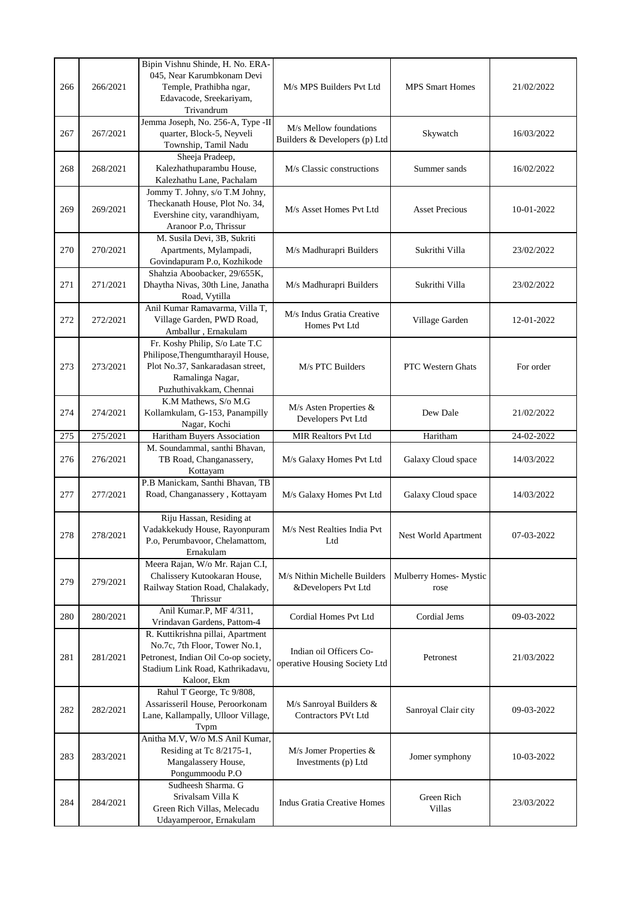| 266 | 266/2021 | Bipin Vishnu Shinde, H. No. ERA-<br>045, Near Karumbkonam Devi<br>Temple, Prathibha ngar,<br>Edavacode, Sreekariyam,<br>Trivandrum                            | M/s MPS Builders Pvt Ltd                                 | <b>MPS Smart Homes</b>         | 21/02/2022 |
|-----|----------|---------------------------------------------------------------------------------------------------------------------------------------------------------------|----------------------------------------------------------|--------------------------------|------------|
| 267 | 267/2021 | Jemma Joseph, No. 256-A, Type -II<br>quarter, Block-5, Neyveli<br>Township, Tamil Nadu                                                                        | M/s Mellow foundations<br>Builders & Developers (p) Ltd  | Skywatch                       | 16/03/2022 |
| 268 | 268/2021 | Sheeja Pradeep,<br>Kalezhathuparambu House,<br>Kalezhathu Lane, Pachalam                                                                                      | M/s Classic constructions                                | Summer sands                   | 16/02/2022 |
| 269 | 269/2021 | Jommy T. Johny, s/o T.M Johny,<br>Theckanath House, Plot No. 34,<br>Evershine city, varandhiyam,<br>Aranoor P.o, Thrissur                                     | M/s Asset Homes Pvt Ltd                                  | <b>Asset Precious</b>          | 10-01-2022 |
| 270 | 270/2021 | M. Susila Devi, 3B, Sukriti<br>Apartments, Mylampadi,<br>Govindapuram P.o, Kozhikode                                                                          | M/s Madhurapri Builders                                  | Sukrithi Villa                 | 23/02/2022 |
| 271 | 271/2021 | Shahzia Aboobacker, 29/655K,<br>Dhaytha Nivas, 30th Line, Janatha<br>Road, Vytilla                                                                            | M/s Madhurapri Builders                                  | Sukrithi Villa                 | 23/02/2022 |
| 272 | 272/2021 | Anil Kumar Ramavarma, Villa T,<br>Village Garden, PWD Road,<br>Amballur, Ernakulam                                                                            | M/s Indus Gratia Creative<br>Homes Pvt Ltd               | Village Garden                 | 12-01-2022 |
| 273 | 273/2021 | Fr. Koshy Philip, S/o Late T.C<br>Philipose, Thengumtharayil House,<br>Plot No.37, Sankaradasan street,<br>Ramalinga Nagar,<br>Puzhuthivakkam, Chennai        | M/s PTC Builders                                         | PTC Western Ghats              | For order  |
| 274 | 274/2021 | K.M Mathews, S/o M.G<br>Kollamkulam, G-153, Panampilly<br>Nagar, Kochi                                                                                        | M/s Asten Properties &<br>Developers Pvt Ltd             | Dew Dale                       | 21/02/2022 |
| 275 | 275/2021 | Haritham Buyers Association                                                                                                                                   | MIR Realtors Pvt Ltd                                     | Haritham                       | 24-02-2022 |
| 276 | 276/2021 | M. Soundammal, santhi Bhavan,<br>TB Road, Changanassery,<br>Kottayam                                                                                          | M/s Galaxy Homes Pvt Ltd                                 | Galaxy Cloud space             | 14/03/2022 |
| 277 | 277/2021 | P.B Manickam, Santhi Bhavan, TB<br>Road, Changanassery, Kottayam                                                                                              | M/s Galaxy Homes Pvt Ltd                                 | Galaxy Cloud space             | 14/03/2022 |
| 278 | 278/2021 | Riju Hassan, Residing at<br>Vadakkekudy House, Rayonpuram<br>P.o, Perumbavoor, Chelamattom,<br>Ernakulam                                                      | M/s Nest Realties India Pvt<br>Ltd                       | Nest World Apartment           | 07-03-2022 |
| 279 | 279/2021 | Meera Rajan, W/o Mr. Rajan C.I,<br>Chalissery Kutookaran House,<br>Railway Station Road, Chalakady,<br>Thrissur                                               | M/s Nithin Michelle Builders<br>&Developers Pvt Ltd      | Mulberry Homes- Mystic<br>rose |            |
| 280 | 280/2021 | Anil Kumar.P, MF 4/311,<br>Vrindavan Gardens, Pattom-4                                                                                                        | Cordial Homes Pvt Ltd                                    | Cordial Jems                   | 09-03-2022 |
| 281 | 281/2021 | R. Kuttikrishna pillai, Apartment<br>No.7c, 7th Floor, Tower No.1,<br>Petronest, Indian Oil Co-op society,<br>Stadium Link Road, Kathrikadavu,<br>Kaloor, Ekm | Indian oil Officers Co-<br>operative Housing Society Ltd | Petronest                      | 21/03/2022 |
| 282 | 282/2021 | Rahul T George, Tc 9/808,<br>Assarisseril House, Peroorkonam<br>Lane, Kallampally, Ulloor Village,<br>Typm                                                    | M/s Sanroyal Builders &<br><b>Contractors PVt Ltd</b>    | Sanroyal Clair city            | 09-03-2022 |
| 283 | 283/2021 | Anitha M.V, W/o M.S Anil Kumar,<br>Residing at Tc 8/2175-1,<br>Mangalassery House,<br>Pongummoodu P.O                                                         | M/s Jomer Properties &<br>Investments (p) Ltd            | Jomer symphony                 | 10-03-2022 |
| 284 | 284/2021 | Sudheesh Sharma. G<br>Srivalsam Villa K<br>Green Rich Villas, Melecadu<br>Udayamperoor, Ernakulam                                                             | <b>Indus Gratia Creative Homes</b>                       | Green Rich<br><b>Villas</b>    | 23/03/2022 |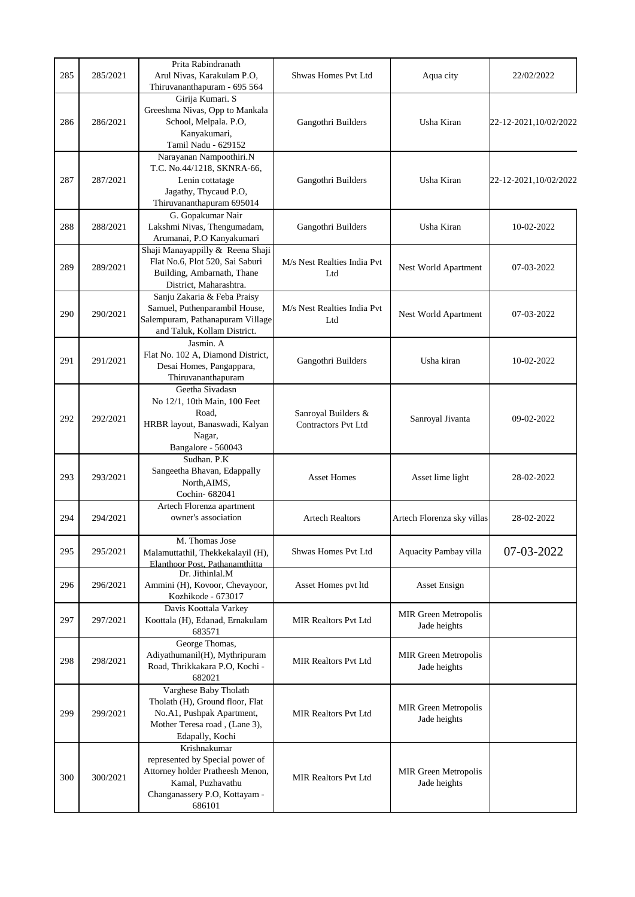| 285 | 285/2021 | Prita Rabindranath<br>Arul Nivas, Karakulam P.O,<br>Thiruvananthapuram - 695 564                                                                    | Shwas Homes Pvt Ltd                               | Aqua city                                   | 22/02/2022            |
|-----|----------|-----------------------------------------------------------------------------------------------------------------------------------------------------|---------------------------------------------------|---------------------------------------------|-----------------------|
| 286 | 286/2021 | Girija Kumari. S<br>Greeshma Nivas, Opp to Mankala<br>School, Melpala. P.O,<br>Kanyakumari,<br>Tamil Nadu - 629152                                  | Gangothri Builders                                | Usha Kiran                                  | 22-12-2021,10/02/2022 |
| 287 | 287/2021 | Narayanan Nampoothiri.N<br>T.C. No.44/1218, SKNRA-66,<br>Lenin cottatage<br>Jagathy, Thycaud P.O,<br>Thiruvananthapuram 695014                      | Gangothri Builders                                | Usha Kiran                                  | 22-12-2021,10/02/2022 |
| 288 | 288/2021 | G. Gopakumar Nair<br>Lakshmi Nivas, Thengumadam,<br>Arumanai, P.O Kanyakumari                                                                       | Gangothri Builders                                | Usha Kiran                                  | 10-02-2022            |
| 289 | 289/2021 | Shaji Manayappilly & Reena Shaji<br>Flat No.6, Plot 520, Sai Saburi<br>Building, Ambarnath, Thane<br>District, Maharashtra.                         | M/s Nest Realties India Pvt<br>Ltd                | Nest World Apartment                        | 07-03-2022            |
| 290 | 290/2021 | Sanju Zakaria & Feba Praisy<br>Samuel, Puthenparambil House,<br>Salempuram, Pathanapuram Village<br>and Taluk, Kollam District.                     | M/s Nest Realties India Pvt<br>Ltd                | Nest World Apartment                        | 07-03-2022            |
| 291 | 291/2021 | Jasmin. A<br>Flat No. 102 A, Diamond District,<br>Desai Homes, Pangappara,<br>Thiruvananthapuram                                                    | Gangothri Builders                                | Usha kiran                                  | 10-02-2022            |
| 292 | 292/2021 | Geetha Sivadasn<br>No 12/1, 10th Main, 100 Feet<br>Road,<br>HRBR layout, Banaswadi, Kalyan<br>Nagar,                                                | Sanroyal Builders &<br><b>Contractors Pvt Ltd</b> | Sanroyal Jivanta                            | 09-02-2022            |
| 293 | 293/2021 | Bangalore - 560043<br>Sudhan. P.K<br>Sangeetha Bhavan, Edappally<br>North, AIMS,<br>Cochin-682041                                                   | <b>Asset Homes</b>                                | Asset lime light                            | 28-02-2022            |
| 294 | 294/2021 | Artech Florenza apartment<br>owner's association                                                                                                    | <b>Artech Realtors</b>                            | Artech Florenza sky villas                  | 28-02-2022            |
| 295 | 295/2021 | M. Thomas Jose<br>Malamuttathil, Thekkekalayil (H),<br>Elanthoor Post. Pathanamthitta                                                               | Shwas Homes Pvt Ltd                               | Aquacity Pambay villa                       | 07-03-2022            |
| 296 | 296/2021 | Dr. Jithinlal.M<br>Ammini (H), Kovoor, Chevayoor,<br>Kozhikode - 673017                                                                             | Asset Homes pvt ltd                               | <b>Asset Ensign</b>                         |                       |
| 297 | 297/2021 | Davis Koottala Varkey<br>Koottala (H), Edanad, Ernakulam<br>683571                                                                                  | <b>MIR Realtors Pvt Ltd</b>                       | <b>MIR Green Metropolis</b><br>Jade heights |                       |
| 298 | 298/2021 | George Thomas,<br>Adiyathumanil(H), Mythripuram<br>Road, Thrikkakara P.O, Kochi -<br>682021                                                         | <b>MIR Realtors Pvt Ltd</b>                       | <b>MIR Green Metropolis</b><br>Jade heights |                       |
| 299 | 299/2021 | Varghese Baby Tholath<br>Tholath (H), Ground floor, Flat<br>No.A1, Pushpak Apartment,<br>Mother Teresa road, (Lane 3),<br>Edapally, Kochi           | <b>MIR Realtors Pvt Ltd</b>                       | <b>MIR Green Metropolis</b><br>Jade heights |                       |
| 300 | 300/2021 | Krishnakumar<br>represented by Special power of<br>Attorney holder Pratheesh Menon,<br>Kamal, Puzhavathu<br>Changanassery P.O, Kottayam -<br>686101 | <b>MIR Realtors Pvt Ltd</b>                       | <b>MIR Green Metropolis</b><br>Jade heights |                       |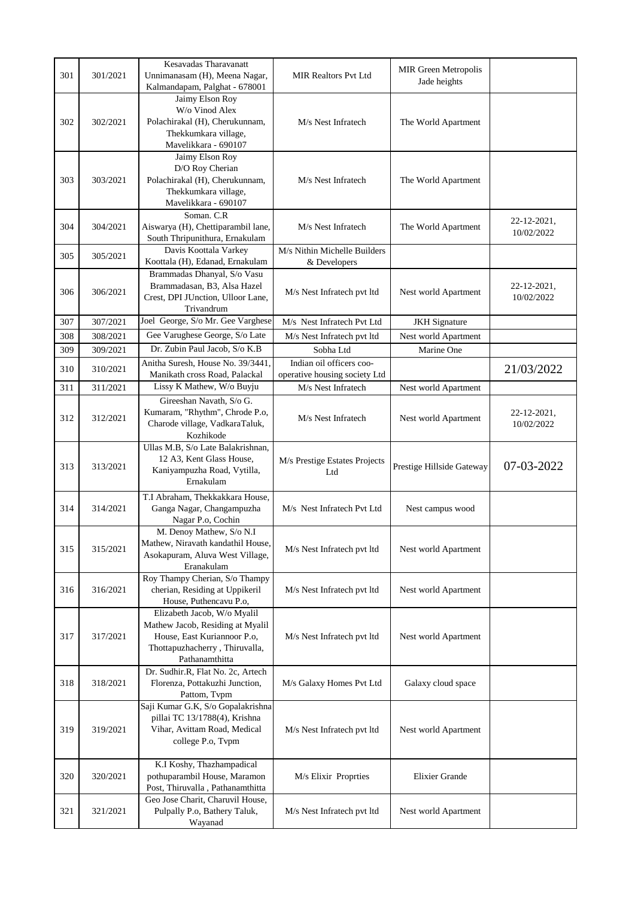| 301 | 301/2021 | Kesavadas Tharavanatt<br>Unnimanasam (H), Meena Nagar,<br>Kalmandapam, Palghat - 678001                                                            | <b>MIR Realtors Pvt Ltd</b>                               | <b>MIR Green Metropolis</b><br>Jade heights |                           |
|-----|----------|----------------------------------------------------------------------------------------------------------------------------------------------------|-----------------------------------------------------------|---------------------------------------------|---------------------------|
| 302 | 302/2021 | Jaimy Elson Roy<br>W/o Vinod Alex<br>Polachirakal (H), Cherukunnam,<br>Thekkumkara village,<br>Mavelikkara - 690107                                | M/s Nest Infratech                                        | The World Apartment                         |                           |
| 303 | 303/2021 | Jaimy Elson Roy<br>D/O Roy Cherian<br>Polachirakal (H), Cherukunnam,<br>Thekkumkara village,<br>Mavelikkara - 690107                               | M/s Nest Infratech                                        | The World Apartment                         |                           |
| 304 | 304/2021 | Soman, C.R.<br>Aiswarya (H), Chettiparambil lane,<br>South Thripunithura, Ernakulam                                                                | M/s Nest Infratech                                        | The World Apartment                         | 22-12-2021,<br>10/02/2022 |
| 305 | 305/2021 | Davis Koottala Varkey<br>Koottala (H), Edanad, Ernakulam                                                                                           | M/s Nithin Michelle Builders<br>& Developers              |                                             |                           |
| 306 | 306/2021 | Brammadas Dhanyal, S/o Vasu<br>Brammadasan, B3, Alsa Hazel<br>Crest, DPI JUnction, Ulloor Lane,<br>Trivandrum                                      | M/s Nest Infratech pvt ltd                                | Nest world Apartment                        | 22-12-2021,<br>10/02/2022 |
| 307 | 307/2021 | Joel George, S/o Mr. Gee Varghese                                                                                                                  | M/s Nest Infratech Pvt Ltd                                | <b>JKH</b> Signature                        |                           |
| 308 | 308/2021 | Gee Varughese George, S/o Late                                                                                                                     | M/s Nest Infratech pvt ltd                                | Nest world Apartment                        |                           |
| 309 | 309/2021 | Dr. Zubin Paul Jacob, S/o K.B                                                                                                                      | Sobha Ltd                                                 | Marine One                                  |                           |
| 310 | 310/2021 | Anitha Suresh, House No. 39/3441,<br>Manikath cross Road, Palackal                                                                                 | Indian oil officers coo-<br>operative housing society Ltd |                                             | 21/03/2022                |
| 311 | 311/2021 | Lissy K Mathew, W/o Buyju                                                                                                                          | M/s Nest Infratech                                        | Nest world Apartment                        |                           |
| 312 | 312/2021 | Gireeshan Navath, S/o G.<br>Kumaram, "Rhythm", Chrode P.o,<br>Charode village, VadkaraTaluk,<br>Kozhikode                                          | M/s Nest Infratech                                        | Nest world Apartment                        | 22-12-2021,<br>10/02/2022 |
| 313 | 313/2021 | Ullas M.B, S/o Late Balakrishnan,<br>12 A3, Kent Glass House,<br>Kaniyampuzha Road, Vytilla,<br>Ernakulam                                          | M/s Prestige Estates Projects<br>Ltd                      | Prestige Hillside Gateway                   | 07-03-2022                |
| 314 | 314/2021 | T.I Abraham, Thekkakkara House,<br>Ganga Nagar, Changampuzha<br>Nagar P.o, Cochin                                                                  | M/s Nest Infratech Pvt Ltd                                | Nest campus wood                            |                           |
| 315 | 315/2021 | M. Denoy Mathew, S/o N.I<br>Mathew, Niravath kandathil House,<br>Asokapuram, Aluva West Village,<br>Eranakulam                                     | M/s Nest Infratech pvt ltd                                | Nest world Apartment                        |                           |
| 316 | 316/2021 | Roy Thampy Cherian, S/o Thampy<br>cherian, Residing at Uppikeril<br>House, Puthencavu P.o,                                                         | M/s Nest Infratech pvt ltd                                | Nest world Apartment                        |                           |
| 317 | 317/2021 | Elizabeth Jacob, W/o Myalil<br>Mathew Jacob, Residing at Myalil<br>House, East Kuriannoor P.o,<br>Thottapuzhacherry, Thiruvalla,<br>Pathanamthitta | M/s Nest Infratech pvt ltd                                | Nest world Apartment                        |                           |
| 318 | 318/2021 | Dr. Sudhir.R, Flat No. 2c, Artech<br>Florenza, Pottakuzhi Junction,<br>Pattom, Tvpm                                                                | M/s Galaxy Homes Pvt Ltd                                  | Galaxy cloud space                          |                           |
| 319 | 319/2021 | Saji Kumar G.K, S/o Gopalakrishna<br>pillai TC 13/1788(4), Krishna<br>Vihar, Avittam Road, Medical<br>college P.o, Tvpm                            | M/s Nest Infratech pvt ltd                                | Nest world Apartment                        |                           |
| 320 | 320/2021 | K.I Koshy, Thazhampadical<br>pothuparambil House, Maramon<br>Post, Thiruvalla, Pathanamthitta                                                      | M/s Elixir Proprties                                      | Elixier Grande                              |                           |
| 321 | 321/2021 | Geo Jose Charit, Charuvil House,<br>Pulpally P.o, Bathery Taluk,<br>Wayanad                                                                        | M/s Nest Infratech pvt ltd                                | Nest world Apartment                        |                           |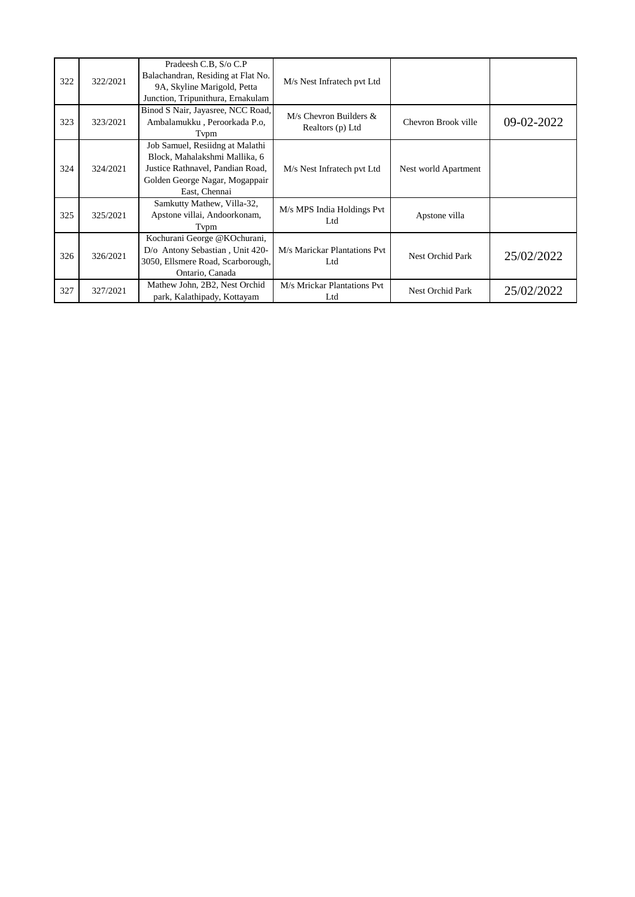| 322 | 322/2021 | Pradeesh C.B, S/o C.P<br>Balachandran, Residing at Flat No.<br>9A, Skyline Marigold, Petta<br>Junction, Tripunithura, Ernakulam                         | M/s Nest Infratech pvt Ltd                   |                      |            |
|-----|----------|---------------------------------------------------------------------------------------------------------------------------------------------------------|----------------------------------------------|----------------------|------------|
| 323 | 323/2021 | Binod S Nair, Jayasree, NCC Road,<br>Ambalamukku, Peroorkada P.o.<br>Typm                                                                               | $M/s$ Chevron Builders &<br>Realtors (p) Ltd | Chevron Brook ville  | 09-02-2022 |
| 324 | 324/2021 | Job Samuel, Resiidng at Malathi<br>Block, Mahalakshmi Mallika, 6<br>Justice Rathnavel, Pandian Road,<br>Golden George Nagar, Mogappair<br>East, Chennai | M/s Nest Infratech pvt Ltd                   | Nest world Apartment |            |
| 325 | 325/2021 | Samkutty Mathew, Villa-32,<br>Apstone villai, Andoorkonam,<br>Typm                                                                                      | M/s MPS India Holdings Pvt<br>Ltd            | Apstone villa        |            |
| 326 | 326/2021 | Kochurani George @KOchurani,<br>D/o Antony Sebastian, Unit 420-<br>3050, Ellsmere Road, Scarborough,<br>Ontario, Canada                                 | M/s Marickar Plantations Pvt<br>Ltd          | Nest Orchid Park     | 25/02/2022 |
| 327 | 327/2021 | Mathew John, 2B2, Nest Orchid<br>park, Kalathipady, Kottayam                                                                                            | M/s Mrickar Plantations Pvt<br>Ltd           | Nest Orchid Park     | 25/02/2022 |